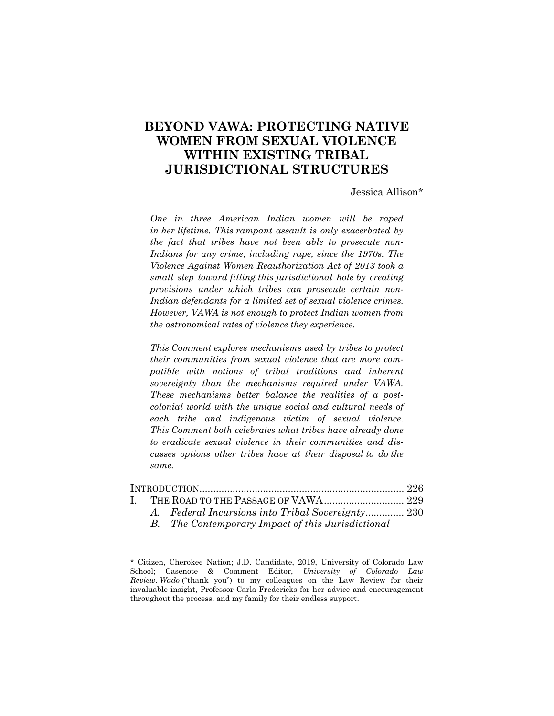# **BEYOND VAWA: PROTECTING NATIVE WOMEN FROM SEXUAL VIOLENCE WITHIN EXISTING TRIBAL JURISDICTIONAL STRUCTURES**

Jessica Allison\*

*One in three American Indian women will be raped in her lifetime. This rampant assault is only exacerbated by the fact that tribes have not been able to prosecute non-Indians for any crime, including rape, since the 1970s. The Violence Against Women Reauthorization Act of 2013 took a small step toward filling this jurisdictional hole by creating provisions under which tribes can prosecute certain non-Indian defendants for a limited set of sexual violence crimes. However, VAWA is not enough to protect Indian women from the astronomical rates of violence they experience.* 

*This Comment explores mechanisms used by tribes to protect their communities from sexual violence that are more compatible with notions of tribal traditions and inherent sovereignty than the mechanisms required under VAWA. These mechanisms better balance the realities of a postcolonial world with the unique social and cultural needs of each tribe and indigenous victim of sexual violence. This Comment both celebrates what tribes have already done to eradicate sexual violence in their communities and discusses options other tribes have at their disposal to do the same.* 

|  | A. Federal Incursions into Tribal Sovereignty 230 |  |
|--|---------------------------------------------------|--|
|  | B. The Contemporary Impact of this Jurisdictional |  |

<sup>\*</sup> Citizen, Cherokee Nation; J.D. Candidate, 2019, University of Colorado Law School; Casenote & Comment Editor, *University of Colorado Law Review*. *Wado* ("thank you") to my colleagues on the Law Review for their invaluable insight, Professor Carla Fredericks for her advice and encouragement throughout the process, and my family for their endless support.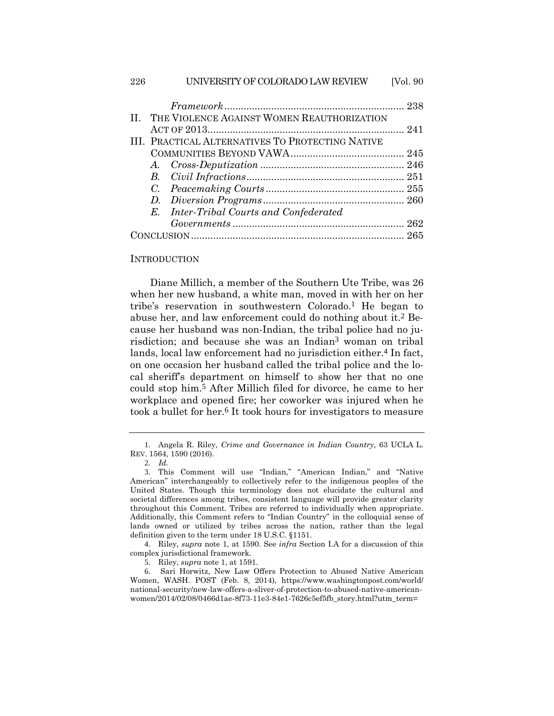| 226          | UNIVERSITY OF COLORADO LAW REVIEW                | [Vol. 90] |
|--------------|--------------------------------------------------|-----------|
|              |                                                  |           |
| $\mathbf{H}$ | THE VIOLENCE AGAINST WOMEN REAUTHORIZATION       |           |
|              |                                                  |           |
|              | III. PRACTICAL ALTERNATIVES TO PROTECTING NATIVE |           |
|              |                                                  |           |
|              |                                                  |           |
|              |                                                  |           |
|              |                                                  |           |
|              | D.                                               |           |
|              | E. Inter-Tribal Courts and Confederated          |           |
|              |                                                  |           |
|              |                                                  |           |

#### **INTRODUCTION**

Diane Millich, a member of the Southern Ute Tribe, was 26 when her new husband, a white man, moved in with her on her tribe's reservation in southwestern Colorado.1 He began to abuse her, and law enforcement could do nothing about it.2 Because her husband was non-Indian, the tribal police had no jurisdiction; and because she was an Indian3 woman on tribal lands, local law enforcement had no jurisdiction either.<sup>4</sup> In fact, on one occasion her husband called the tribal police and the local sheriff's department on himself to show her that no one could stop him.5 After Millich filed for divorce, he came to her workplace and opened fire; her coworker was injured when he took a bullet for her.6 It took hours for investigators to measure

4. Riley, *supra* note 1, at 1590. See *infra* Section I.A for a discussion of this complex jurisdictional framework.

<sup>1</sup>. Angela R. Riley, *Crime and Governance in Indian Country*, 63 UCLA L. REV. 1564, 1590 (2016).

<sup>2</sup>*. Id.*

<sup>3</sup>. This Comment will use "Indian," "American Indian," and "Native American" interchangeably to collectively refer to the indigenous peoples of the United States. Though this terminology does not elucidate the cultural and societal differences among tribes, consistent language will provide greater clarity throughout this Comment. Tribes are referred to individually when appropriate. Additionally, this Comment refers to "Indian Country" in the colloquial sense of lands owned or utilized by tribes across the nation, rather than the legal definition given to the term under 18 U.S.C. §1151.

<sup>5</sup>. Riley, *supra* note 1, at 1591.

<sup>6</sup>. Sari Horwitz, New Law Offers Protection to Abused Native American Women, WASH. POST (Feb. 8, 2014), https://www.washingtonpost.com/world/ national-security/new-law-offers-a-sliver-of-protection-to-abused-native-americanwomen/2014/02/08/0466d1ae-8f73-11e3-84e1-7626c5ef5fb\_story.html?utm\_term=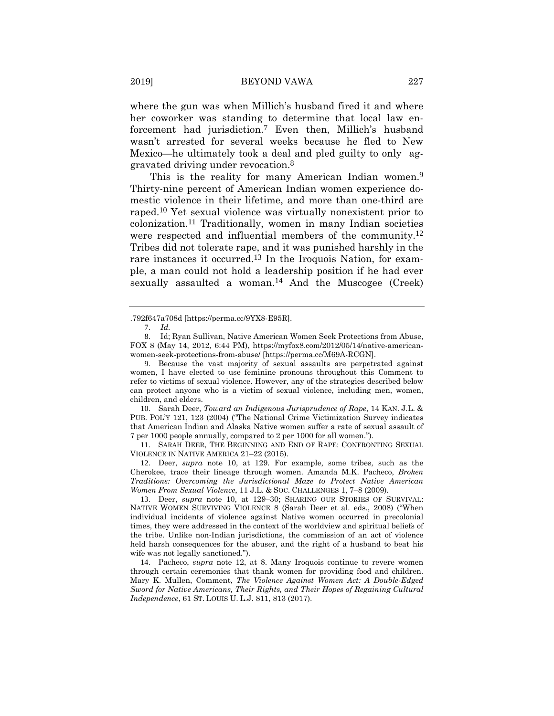where the gun was when Millich's husband fired it and where her coworker was standing to determine that local law enforcement had jurisdiction.7 Even then, Millich's husband wasn't arrested for several weeks because he fled to New Mexico—he ultimately took a deal and pled guilty to only aggravated driving under revocation.8

This is the reality for many American Indian women.<sup>9</sup> Thirty-nine percent of American Indian women experience domestic violence in their lifetime, and more than one-third are raped.10 Yet sexual violence was virtually nonexistent prior to colonization.11 Traditionally, women in many Indian societies were respected and influential members of the community.12 Tribes did not tolerate rape, and it was punished harshly in the rare instances it occurred.<sup>13</sup> In the Iroquois Nation, for example, a man could not hold a leadership position if he had ever sexually assaulted a woman.<sup>14</sup> And the Muscogee (Creek)

<sup>.792</sup>f647a708d [https://perma.cc/9YX8-E95R].

<sup>7</sup>. *Id.*

<sup>8</sup>. Id; Ryan Sullivan, Native American Women Seek Protections from Abuse, FOX 8 (May 14, 2012, 6:44 PM), https://myfox8.com/2012/05/14/native-americanwomen-seek-protections-from-abuse/ [https://perma.cc/M69A-RCGN].

<sup>9</sup>. Because the vast majority of sexual assaults are perpetrated against women, I have elected to use feminine pronouns throughout this Comment to refer to victims of sexual violence. However, any of the strategies described below can protect anyone who is a victim of sexual violence, including men, women, children, and elders.

<sup>10</sup>. Sarah Deer, *Toward an Indigenous Jurisprudence of Rape*, 14 KAN. J.L. & PUB. POL'Y 121, 123 (2004) ("The National Crime Victimization Survey indicates that American Indian and Alaska Native women suffer a rate of sexual assault of 7 per 1000 people annually, compared to 2 per 1000 for all women.").

<sup>11</sup>. SARAH DEER, THE BEGINNING AND END OF RAPE: CONFRONTING SEXUAL VIOLENCE IN NATIVE AMERICA 21–22 (2015).

<sup>12</sup>. Deer, *supra* note 10, at 129. For example, some tribes, such as the Cherokee, trace their lineage through women. Amanda M.K. Pacheco, *Broken Traditions: Overcoming the Jurisdictional Maze to Protect Native American Women From Sexual Violence*, 11 J.L. & SOC. CHALLENGES 1, 7–8 (2009).

<sup>13</sup>. Deer, *supra* note 10, at 129–30; SHARING OUR STORIES OF SURVIVAL: NATIVE WOMEN SURVIVING VIOLENCE 8 (Sarah Deer et al. eds., 2008) ("When individual incidents of violence against Native women occurred in precolonial times, they were addressed in the context of the worldview and spiritual beliefs of the tribe. Unlike non-Indian jurisdictions, the commission of an act of violence held harsh consequences for the abuser, and the right of a husband to beat his wife was not legally sanctioned.").

<sup>14</sup>. Pacheco, *supra* note 12, at 8. Many Iroquois continue to revere women through certain ceremonies that thank women for providing food and children. Mary K. Mullen, Comment, *The Violence Against Women Act: A Double-Edged Sword for Native Americans, Their Rights, and Their Hopes of Regaining Cultural Independence*, 61 ST. LOUIS U. L.J. 811, 813 (2017).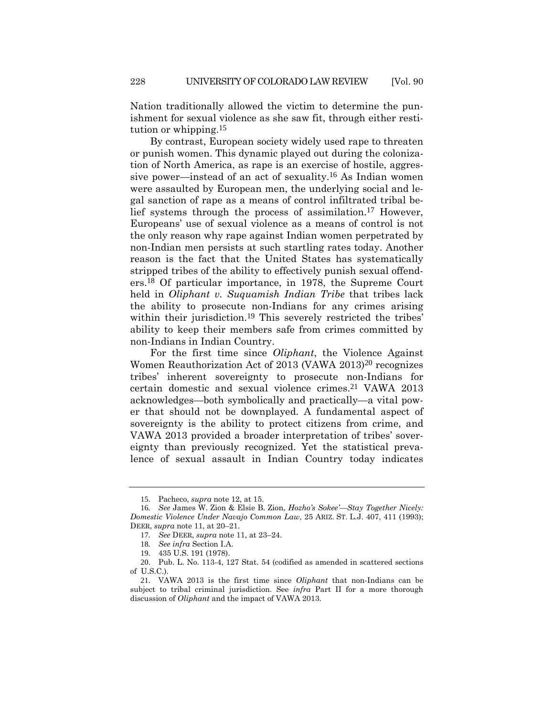Nation traditionally allowed the victim to determine the punishment for sexual violence as she saw fit, through either restitution or whipping.15

By contrast, European society widely used rape to threaten or punish women. This dynamic played out during the colonization of North America, as rape is an exercise of hostile, aggressive power—instead of an act of sexuality.16 As Indian women were assaulted by European men, the underlying social and legal sanction of rape as a means of control infiltrated tribal belief systems through the process of assimilation.17 However, Europeans' use of sexual violence as a means of control is not the only reason why rape against Indian women perpetrated by non-Indian men persists at such startling rates today. Another reason is the fact that the United States has systematically stripped tribes of the ability to effectively punish sexual offenders.18 Of particular importance, in 1978, the Supreme Court held in *Oliphant v. Suquamish Indian Tribe* that tribes lack the ability to prosecute non-Indians for any crimes arising within their jurisdiction.<sup>19</sup> This severely restricted the tribes' ability to keep their members safe from crimes committed by non-Indians in Indian Country.

For the first time since *Oliphant*, the Violence Against Women Reauthorization Act of 2013 (VAWA 2013)<sup>20</sup> recognizes tribes' inherent sovereignty to prosecute non-Indians for certain domestic and sexual violence crimes.21 VAWA 2013 acknowledges—both symbolically and practically—a vital power that should not be downplayed. A fundamental aspect of sovereignty is the ability to protect citizens from crime, and VAWA 2013 provided a broader interpretation of tribes' sovereignty than previously recognized. Yet the statistical prevalence of sexual assault in Indian Country today indicates

<sup>15</sup>. Pacheco, *supra* note 12, at 15.

<sup>16</sup>*. See* James W. Zion & Elsie B. Zion, *Hozho's Sokee'—Stay Together Nicely: Domestic Violence Under Navajo Common Law*, 25 ARIZ. ST. L.J. 407, 411 (1993); DEER, *supra* note 11, at 20–21.

<sup>17</sup>*. See* DEER, *supra* note 11, at 23–24.

<sup>18</sup>*. See infra* Section I.A.

<sup>19</sup>. 435 U.S. 191 (1978).

<sup>20</sup>. Pub. L. No. 113-4, 127 Stat. 54 (codified as amended in scattered sections of U.S.C.).

<sup>21</sup>. VAWA 2013 is the first time since *Oliphant* that non-Indians can be subject to tribal criminal jurisdiction. See *infra* Part II for a more thorough discussion of *Oliphant* and the impact of VAWA 2013.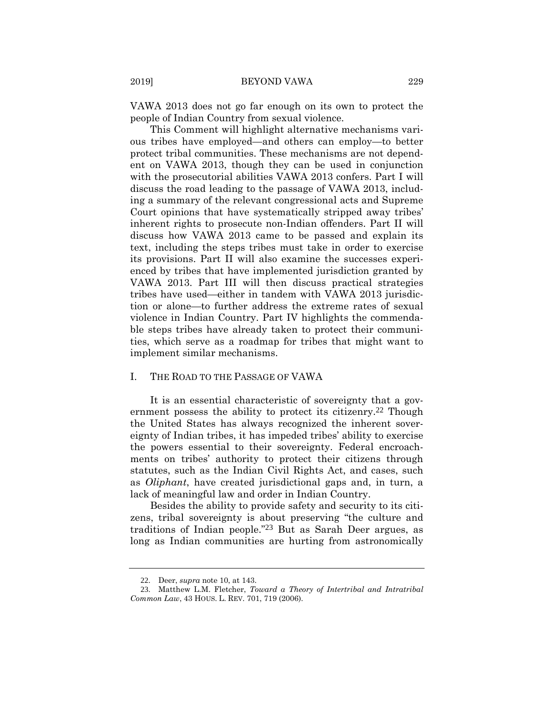VAWA 2013 does not go far enough on its own to protect the people of Indian Country from sexual violence.

This Comment will highlight alternative mechanisms various tribes have employed—and others can employ—to better protect tribal communities. These mechanisms are not dependent on VAWA 2013, though they can be used in conjunction with the prosecutorial abilities VAWA 2013 confers. Part I will discuss the road leading to the passage of VAWA 2013, including a summary of the relevant congressional acts and Supreme Court opinions that have systematically stripped away tribes' inherent rights to prosecute non-Indian offenders. Part II will discuss how VAWA 2013 came to be passed and explain its text, including the steps tribes must take in order to exercise its provisions. Part II will also examine the successes experienced by tribes that have implemented jurisdiction granted by VAWA 2013. Part III will then discuss practical strategies tribes have used—either in tandem with VAWA 2013 jurisdiction or alone—to further address the extreme rates of sexual violence in Indian Country. Part IV highlights the commendable steps tribes have already taken to protect their communities, which serve as a roadmap for tribes that might want to implement similar mechanisms.

#### I. THE ROAD TO THE PASSAGE OF VAWA

It is an essential characteristic of sovereignty that a government possess the ability to protect its citizenry.<sup>22</sup> Though the United States has always recognized the inherent sovereignty of Indian tribes, it has impeded tribes' ability to exercise the powers essential to their sovereignty. Federal encroachments on tribes' authority to protect their citizens through statutes, such as the Indian Civil Rights Act, and cases, such as *Oliphant*, have created jurisdictional gaps and, in turn, a lack of meaningful law and order in Indian Country.

Besides the ability to provide safety and security to its citizens, tribal sovereignty is about preserving "the culture and traditions of Indian people."23 But as Sarah Deer argues, as long as Indian communities are hurting from astronomically

<sup>22</sup>. Deer, *supra* note 10, at 143.

<sup>23</sup>. Matthew L.M. Fletcher, *Toward a Theory of Intertribal and Intratribal Common Law*, 43 HOUS. L. REV. 701, 719 (2006).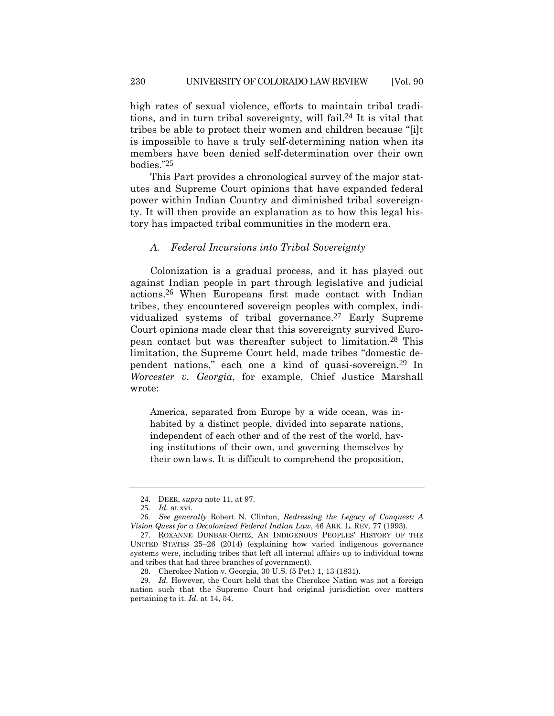high rates of sexual violence, efforts to maintain tribal traditions, and in turn tribal sovereignty, will fail.24 It is vital that tribes be able to protect their women and children because "[i]t is impossible to have a truly self-determining nation when its members have been denied self-determination over their own bodies."25

This Part provides a chronological survey of the major statutes and Supreme Court opinions that have expanded federal power within Indian Country and diminished tribal sovereignty. It will then provide an explanation as to how this legal history has impacted tribal communities in the modern era.

### *A. Federal Incursions into Tribal Sovereignty*

Colonization is a gradual process, and it has played out against Indian people in part through legislative and judicial actions.26 When Europeans first made contact with Indian tribes, they encountered sovereign peoples with complex, individualized systems of tribal governance.27 Early Supreme Court opinions made clear that this sovereignty survived European contact but was thereafter subject to limitation.28 This limitation, the Supreme Court held, made tribes "domestic dependent nations," each one a kind of quasi-sovereign.29 In *Worcester v. Georgia*, for example, Chief Justice Marshall wrote:

America, separated from Europe by a wide ocean, was inhabited by a distinct people, divided into separate nations, independent of each other and of the rest of the world, having institutions of their own, and governing themselves by their own laws. It is difficult to comprehend the proposition,

<sup>24</sup>. DEER, *supra* note 11, at 97.

<sup>25</sup>*. Id.* at xvi.

<sup>26</sup>*. See generally* Robert N. Clinton, *Redressing the Legacy of Conquest: A Vision Quest for a Decolonized Federal Indian Law*, 46 ARK. L. REV. 77 (1993).

<sup>27</sup>. ROXANNE DUNBAR-ORTIZ, AN INDIGENOUS PEOPLES' HISTORY OF THE UNITED STATES 25–26 (2014) (explaining how varied indigenous governance systems were, including tribes that left all internal affairs up to individual towns and tribes that had three branches of government).

<sup>28</sup>. Cherokee Nation v. Georgia, 30 U.S. (5 Pet.) 1, 13 (1831).

<sup>29</sup>*. Id.* However, the Court held that the Cherokee Nation was not a foreign nation such that the Supreme Court had original jurisdiction over matters pertaining to it. *Id.* at 14, 54.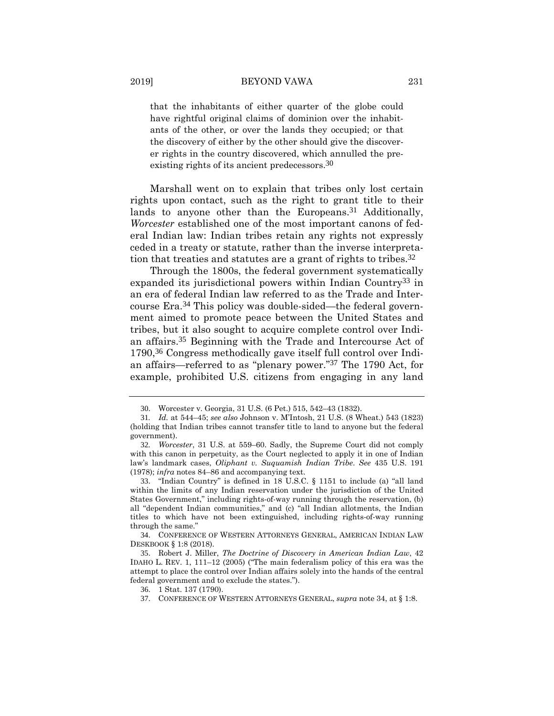that the inhabitants of either quarter of the globe could have rightful original claims of dominion over the inhabitants of the other, or over the lands they occupied; or that the discovery of either by the other should give the discoverer rights in the country discovered, which annulled the preexisting rights of its ancient predecessors.30

Marshall went on to explain that tribes only lost certain rights upon contact, such as the right to grant title to their lands to anyone other than the Europeans.<sup>31</sup> Additionally, *Worcester* established one of the most important canons of federal Indian law: Indian tribes retain any rights not expressly ceded in a treaty or statute, rather than the inverse interpretation that treaties and statutes are a grant of rights to tribes.32

Through the 1800s, the federal government systematically expanded its jurisdictional powers within Indian Country33 in an era of federal Indian law referred to as the Trade and Intercourse Era.34 This policy was double-sided—the federal government aimed to promote peace between the United States and tribes, but it also sought to acquire complete control over Indian affairs.35 Beginning with the Trade and Intercourse Act of 1790,36 Congress methodically gave itself full control over Indian affairs—referred to as "plenary power."37 The 1790 Act, for example, prohibited U.S. citizens from engaging in any land

<sup>30</sup>. Worcester v. Georgia, 31 U.S. (6 Pet.) 515, 542–43 (1832).

<sup>31</sup>*. Id.* at 544–45; *see also* Johnson v. M'Intosh, 21 U.S. (8 Wheat.) 543 (1823) (holding that Indian tribes cannot transfer title to land to anyone but the federal government).

<sup>32</sup>*. Worcester*, 31 U.S. at 559–60. Sadly, the Supreme Court did not comply with this canon in perpetuity, as the Court neglected to apply it in one of Indian law's landmark cases, *Oliphant v. Suquamish Indian Tribe*. *See* 435 U.S. 191 (1978); *infra* notes 84–86 and accompanying text.

<sup>33</sup>. "Indian Country" is defined in 18 U.S.C. § 1151 to include (a) "all land within the limits of any Indian reservation under the jurisdiction of the United States Government," including rights-of-way running through the reservation, (b) all "dependent Indian communities," and (c) "all Indian allotments, the Indian titles to which have not been extinguished, including rights-of-way running through the same."

<sup>34</sup>. CONFERENCE OF WESTERN ATTORNEYS GENERAL, AMERICAN INDIAN LAW DESKBOOK § 1:8 (2018).

<sup>35</sup>. Robert J. Miller, *The Doctrine of Discovery in American Indian Law*, 42 IDAHO L. REV. 1, 111–12 (2005) ("The main federalism policy of this era was the attempt to place the control over Indian affairs solely into the hands of the central federal government and to exclude the states.").

<sup>36</sup>. 1 Stat. 137 (1790).

<sup>37</sup>. CONFERENCE OF WESTERN ATTORNEYS GENERAL, *supra* note 34, at § 1:8.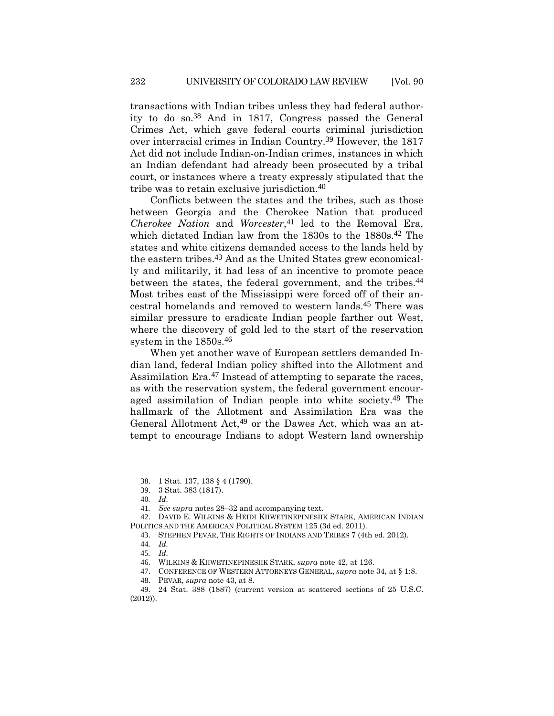transactions with Indian tribes unless they had federal authority to do so.38 And in 1817, Congress passed the General Crimes Act, which gave federal courts criminal jurisdiction over interracial crimes in Indian Country.39 However, the 1817 Act did not include Indian-on-Indian crimes, instances in which an Indian defendant had already been prosecuted by a tribal court, or instances where a treaty expressly stipulated that the tribe was to retain exclusive jurisdiction.40

Conflicts between the states and the tribes, such as those between Georgia and the Cherokee Nation that produced *Cherokee Nation* and *Worcester*,<sup>41</sup> led to the Removal Era, which dictated Indian law from the 1830s to the 1880s.<sup>42</sup> The states and white citizens demanded access to the lands held by the eastern tribes.43 And as the United States grew economically and militarily, it had less of an incentive to promote peace between the states, the federal government, and the tribes.44 Most tribes east of the Mississippi were forced off of their ancestral homelands and removed to western lands.45 There was similar pressure to eradicate Indian people farther out West, where the discovery of gold led to the start of the reservation system in the 1850s.46

When yet another wave of European settlers demanded Indian land, federal Indian policy shifted into the Allotment and Assimilation Era.47 Instead of attempting to separate the races, as with the reservation system, the federal government encouraged assimilation of Indian people into white society.48 The hallmark of the Allotment and Assimilation Era was the General Allotment Act,49 or the Dawes Act, which was an attempt to encourage Indians to adopt Western land ownership

<sup>38</sup>. 1 Stat. 137, 138 § 4 (1790).

<sup>39</sup>. 3 Stat. 383 (1817).

<sup>40</sup>*. Id.*

<sup>41</sup>*. See supra* notes 28–32 and accompanying text.

<sup>42</sup>. DAVID E. WILKINS & HEIDI KIIWETINEPINESIIK STARK, AMERICAN INDIAN POLITICS AND THE AMERICAN POLITICAL SYSTEM 125 (3d ed. 2011).

<sup>43</sup>. STEPHEN PEVAR, THE RIGHTS OF INDIANS AND TRIBES 7 (4th ed. 2012).

<sup>44</sup>*. Id.*

<sup>45</sup>*. Id.*

<sup>46</sup>. WILKINS & KIIWETINEPINESIIK STARK, *supra* note 42, at 126.

<sup>47</sup>. CONFERENCE OF WESTERN ATTORNEYS GENERAL, *supra* note 34, at § 1:8.

<sup>48</sup>. PEVAR, *supra* note 43, at 8.

<sup>49</sup>. 24 Stat. 388 (1887) (current version at scattered sections of 25 U.S.C. (2012)).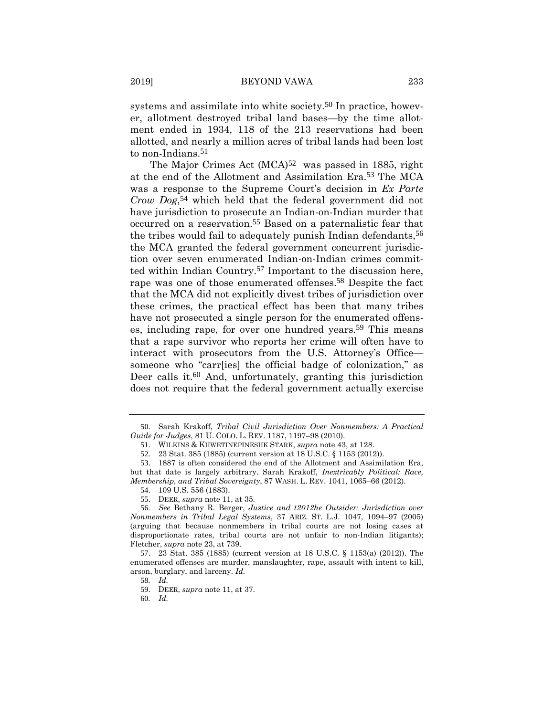systems and assimilate into white society.<sup>50</sup> In practice, however, allotment destroyed tribal land bases—by the time allotment ended in 1934, 118 of the 213 reservations had been allotted, and nearly a million acres of tribal lands had been lost to non-Indians.51

The Major Crimes Act  $(MCA)^{52}$  was passed in 1885, right at the end of the Allotment and Assimilation Era.53 The MCA was a response to the Supreme Court's decision in *Ex Parte Crow Dog*,54 which held that the federal government did not have jurisdiction to prosecute an Indian-on-Indian murder that occurred on a reservation.55 Based on a paternalistic fear that the tribes would fail to adequately punish Indian defendants,<sup>56</sup> the MCA granted the federal government concurrent jurisdiction over seven enumerated Indian-on-Indian crimes committed within Indian Country.57 Important to the discussion here, rape was one of those enumerated offenses.58 Despite the fact that the MCA did not explicitly divest tribes of jurisdiction over these crimes, the practical effect has been that many tribes have not prosecuted a single person for the enumerated offenses, including rape, for over one hundred years.<sup>59</sup> This means that a rape survivor who reports her crime will often have to interact with prosecutors from the U.S. Attorney's Office someone who "carr[ies] the official badge of colonization," as Deer calls it.60 And, unfortunately, granting this jurisdiction does not require that the federal government actually exercise

<sup>50</sup>. Sarah Krakoff, *Tribal Civil Jurisdiction Over Nonmembers: A Practical Guide for Judges*, 81 U. COLO. L. REV. 1187, 1197–98 (2010).

<sup>51</sup>. WILKINS & KIIWETINEPINESIIK STARK, *supra* note 43, at 128.

<sup>52</sup>. 23 Stat. 385 (1885) (current version at 18 U.S.C. § 1153 (2012)).

<sup>53</sup>. 1887 is often considered the end of the Allotment and Assimilation Era, but that date is largely arbitrary. Sarah Krakoff, *Inextricably Political: Race, Membership, and Tribal Sovereignty*, 87 WASH. L. REV. 1041, 1065–66 (2012).

<sup>54</sup>. 109 U.S. 556 (1883).

<sup>55</sup>. DEER, *supra* note 11, at 35.

<sup>56</sup>*. See* Bethany R. Berger, *Justice and t2012he Outsider: Jurisdiction over Nonmembers in Tribal Legal Systems*, 37 ARIZ. ST. L.J. 1047, 1094–97 (2005) (arguing that because nonmembers in tribal courts are not losing cases at disproportionate rates, tribal courts are not unfair to non-Indian litigants); Fletcher, *supra* note 23, at 739.

<sup>57</sup>. 23 Stat. 385 (1885) (current version at 18 U.S.C. § 1153(a) (2012)). The enumerated offenses are murder, manslaughter, rape, assault with intent to kill, arson, burglary, and larceny. *Id.* 

<sup>58</sup>*. Id.*

<sup>59</sup>. DEER, *supra* note 11, at 37.

<sup>60</sup>*. Id.*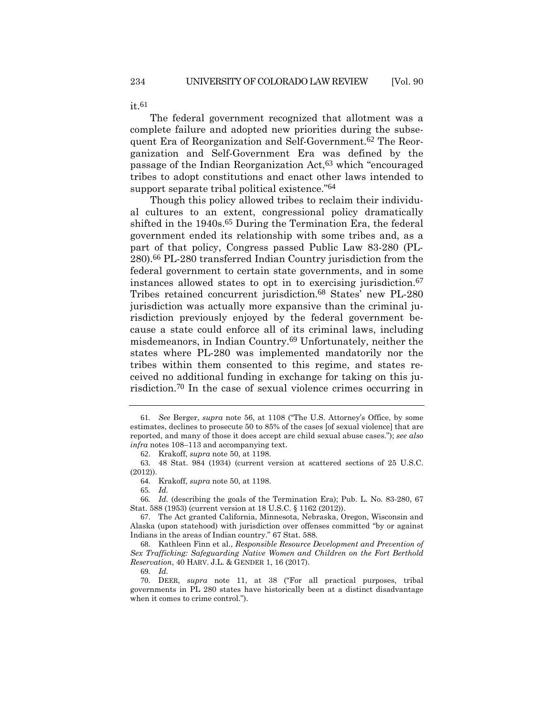The federal government recognized that allotment was a complete failure and adopted new priorities during the subsequent Era of Reorganization and Self-Government.62 The Reorganization and Self-Government Era was defined by the passage of the Indian Reorganization Act,63 which "encouraged tribes to adopt constitutions and enact other laws intended to support separate tribal political existence."64

Though this policy allowed tribes to reclaim their individual cultures to an extent, congressional policy dramatically shifted in the 1940s.<sup>65</sup> During the Termination Era, the federal government ended its relationship with some tribes and, as a part of that policy, Congress passed Public Law 83-280 (PL-280).66 PL-280 transferred Indian Country jurisdiction from the federal government to certain state governments, and in some instances allowed states to opt in to exercising jurisdiction.67 Tribes retained concurrent jurisdiction.68 States' new PL-280 jurisdiction was actually more expansive than the criminal jurisdiction previously enjoyed by the federal government because a state could enforce all of its criminal laws, including misdemeanors, in Indian Country.69 Unfortunately, neither the states where PL-280 was implemented mandatorily nor the tribes within them consented to this regime, and states received no additional funding in exchange for taking on this jurisdiction.70 In the case of sexual violence crimes occurring in

65*. Id.*

66*. Id.* (describing the goals of the Termination Era); Pub. L. No. 83-280, 67 Stat. 588 (1953) (current version at 18 U.S.C. § 1162 (2012)).

68. Kathleen Finn et al., *Responsible Resource Development and Prevention of Sex Trafficking: Safeguarding Native Women and Children on the Fort Berthold Reservation*, 40 HARV. J.L. & GENDER 1, 16 (2017).

69*. Id.*

 $it.61$ 

<sup>61</sup>*. See* Berger, *supra* note 56, at 1108 ("The U.S. Attorney's Office, by some estimates, declines to prosecute 50 to 85% of the cases [of sexual violence] that are reported, and many of those it does accept are child sexual abuse cases."); *see also infra* notes 108–113 and accompanying text.

<sup>62</sup>. Krakoff, *supra* note 50, at 1198.

<sup>63</sup>. 48 Stat. 984 (1934) (current version at scattered sections of 25 U.S.C. (2012)).

<sup>64</sup>. Krakoff, *supra* note 50, at 1198.

<sup>67</sup>. The Act granted California, Minnesota, Nebraska, Oregon, Wisconsin and Alaska (upon statehood) with jurisdiction over offenses committed "by or against Indians in the areas of Indian country." 67 Stat. 588.

<sup>70</sup>. DEER, *supra* note 11, at 38 ("For all practical purposes, tribal governments in PL 280 states have historically been at a distinct disadvantage when it comes to crime control.").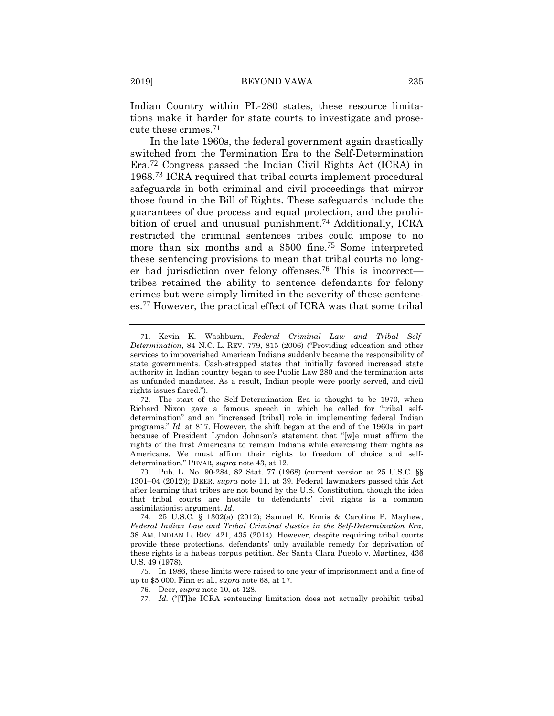Indian Country within PL-280 states, these resource limitations make it harder for state courts to investigate and prosecute these crimes.71

In the late 1960s, the federal government again drastically switched from the Termination Era to the Self-Determination Era.72 Congress passed the Indian Civil Rights Act (ICRA) in 1968.73 ICRA required that tribal courts implement procedural safeguards in both criminal and civil proceedings that mirror those found in the Bill of Rights. These safeguards include the guarantees of due process and equal protection, and the prohibition of cruel and unusual punishment.<sup>74</sup> Additionally, ICRA restricted the criminal sentences tribes could impose to no more than six months and a \$500 fine.75 Some interpreted these sentencing provisions to mean that tribal courts no longer had jurisdiction over felony offenses.76 This is incorrect tribes retained the ability to sentence defendants for felony crimes but were simply limited in the severity of these sentences.77 However, the practical effect of ICRA was that some tribal

<sup>71</sup>. Kevin K. Washburn, *Federal Criminal Law and Tribal Self-Determination*, 84 N.C. L. REV. 779, 815 (2006) ("Providing education and other services to impoverished American Indians suddenly became the responsibility of state governments. Cash-strapped states that initially favored increased state authority in Indian country began to see Public Law 280 and the termination acts as unfunded mandates. As a result, Indian people were poorly served, and civil rights issues flared.").

<sup>72</sup>. The start of the Self-Determination Era is thought to be 1970, when Richard Nixon gave a famous speech in which he called for "tribal selfdetermination" and an "increased [tribal] role in implementing federal Indian programs." *Id.* at 817. However, the shift began at the end of the 1960s, in part because of President Lyndon Johnson's statement that "[w]e must affirm the rights of the first Americans to remain Indians while exercising their rights as Americans. We must affirm their rights to freedom of choice and selfdetermination." PEVAR, *supra* note 43, at 12.

<sup>73</sup>. Pub. L. No. 90-284, 82 Stat. 77 (1968) (current version at 25 U.S.C. §§ 1301–04 (2012)); DEER, *supra* note 11, at 39. Federal lawmakers passed this Act after learning that tribes are not bound by the U.S. Constitution, though the idea that tribal courts are hostile to defendants' civil rights is a common assimilationist argument. *Id.*

<sup>74</sup>. 25 U.S.C. § 1302(a) (2012); Samuel E. Ennis & Caroline P. Mayhew, *Federal Indian Law and Tribal Criminal Justice in the Self-Determination Era*, 38 AM. INDIAN L. REV. 421, 435 (2014). However, despite requiring tribal courts provide these protections, defendants' only available remedy for deprivation of these rights is a habeas corpus petition. *See* Santa Clara Pueblo v. Martinez, 436 U.S. 49 (1978).

<sup>75</sup>. In 1986, these limits were raised to one year of imprisonment and a fine of up to \$5,000. Finn et al., *supra* note 68, at 17.

<sup>76</sup>. Deer, *supra* note 10, at 128.

<sup>77</sup>*. Id.* ("[T]he ICRA sentencing limitation does not actually prohibit tribal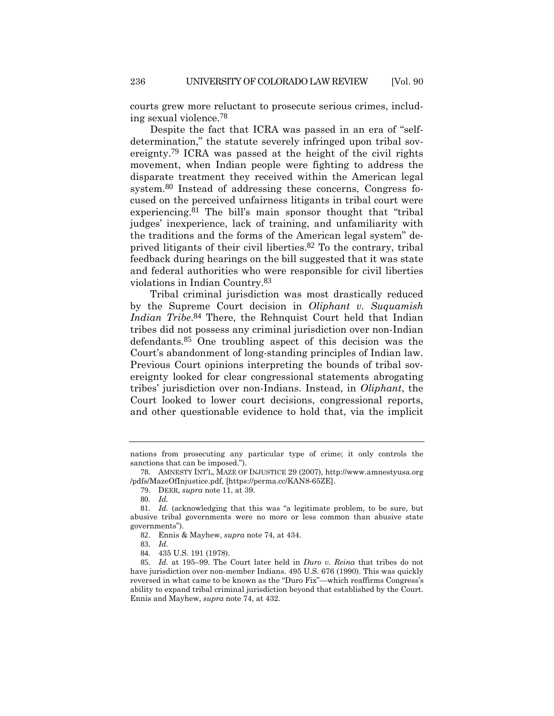courts grew more reluctant to prosecute serious crimes, including sexual violence.78

Despite the fact that ICRA was passed in an era of "selfdetermination," the statute severely infringed upon tribal sovereignty.79 ICRA was passed at the height of the civil rights movement, when Indian people were fighting to address the disparate treatment they received within the American legal system.<sup>80</sup> Instead of addressing these concerns, Congress focused on the perceived unfairness litigants in tribal court were experiencing.<sup>81</sup> The bill's main sponsor thought that "tribal" judges' inexperience, lack of training, and unfamiliarity with the traditions and the forms of the American legal system" deprived litigants of their civil liberties.82 To the contrary, tribal feedback during hearings on the bill suggested that it was state and federal authorities who were responsible for civil liberties violations in Indian Country.83

Tribal criminal jurisdiction was most drastically reduced by the Supreme Court decision in *Oliphant v. Suquamish Indian Tribe*.<sup>84</sup> There, the Rehnquist Court held that Indian tribes did not possess any criminal jurisdiction over non-Indian defendants.85 One troubling aspect of this decision was the Court's abandonment of long-standing principles of Indian law. Previous Court opinions interpreting the bounds of tribal sovereignty looked for clear congressional statements abrogating tribes' jurisdiction over non-Indians. Instead, in *Oliphant*, the Court looked to lower court decisions, congressional reports, and other questionable evidence to hold that, via the implicit

nations from prosecuting any particular type of crime; it only controls the sanctions that can be imposed.").

<sup>78</sup>. AMNESTY INT'L, MAZE OF INJUSTICE 29 (2007), http://www.amnestyusa.org /pdfs/MazeOfInjustice.pdf, [https://perma.cc/KAN8-65ZE].

<sup>79</sup>. DEER, *supra* note 11, at 39.

<sup>80</sup>*. Id.*

<sup>81</sup>*. Id.* (acknowledging that this was "a legitimate problem, to be sure, but abusive tribal governments were no more or less common than abusive state governments").

<sup>82</sup>. Ennis & Mayhew, *supra* note 74, at 434.

<sup>83</sup>*. Id.*

<sup>84</sup>. 435 U.S. 191 (1978).

<sup>85</sup>*. Id.* at 195–99. The Court later held in *Duro v. Reina* that tribes do not have jurisdiction over non-member Indians. 495 U.S. 676 (1990). This was quickly reversed in what came to be known as the "Duro Fix"—which reaffirms Congress's ability to expand tribal criminal jurisdiction beyond that established by the Court. Ennis and Mayhew, *supra* note 74, at 432.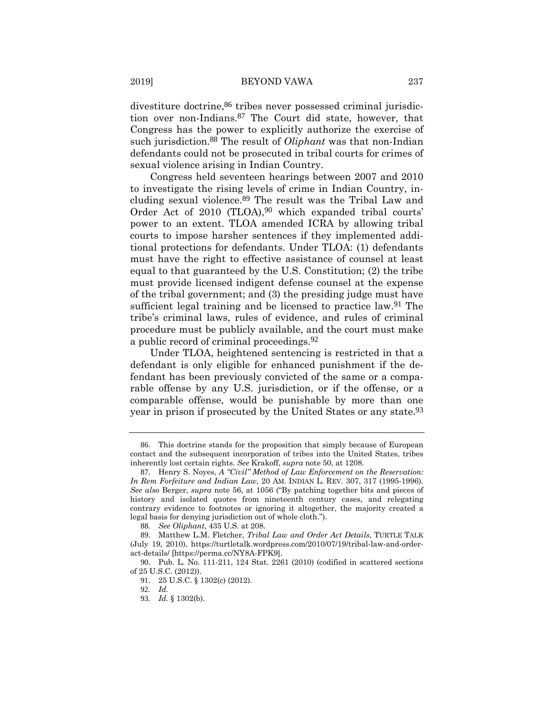divestiture doctrine,  $86$  tribes never possessed criminal jurisdiction over non-Indians.87 The Court did state, however, that Congress has the power to explicitly authorize the exercise of such jurisdiction.88 The result of *Oliphant* was that non-Indian defendants could not be prosecuted in tribal courts for crimes of sexual violence arising in Indian Country.

Congress held seventeen hearings between 2007 and 2010 to investigate the rising levels of crime in Indian Country, including sexual violence.89 The result was the Tribal Law and Order Act of 2010 (TLOA),<sup>90</sup> which expanded tribal courts' power to an extent. TLOA amended ICRA by allowing tribal courts to impose harsher sentences if they implemented additional protections for defendants. Under TLOA: (1) defendants must have the right to effective assistance of counsel at least equal to that guaranteed by the U.S. Constitution; (2) the tribe must provide licensed indigent defense counsel at the expense of the tribal government; and (3) the presiding judge must have sufficient legal training and be licensed to practice law.91 The tribe's criminal laws, rules of evidence, and rules of criminal procedure must be publicly available, and the court must make a public record of criminal proceedings.92

Under TLOA, heightened sentencing is restricted in that a defendant is only eligible for enhanced punishment if the defendant has been previously convicted of the same or a comparable offense by any U.S. jurisdiction, or if the offense, or a comparable offense, would be punishable by more than one year in prison if prosecuted by the United States or any state.93

<sup>86</sup>. This doctrine stands for the proposition that simply because of European contact and the subsequent incorporation of tribes into the United States, tribes inherently lost certain rights. *See* Krakoff, *supra* note 50, at 1208.

<sup>87</sup>. Henry S. Noyes, *A "Civil" Method of Law Enforcement on the Reservation: In Rem Forfeiture and Indian Law*, 20 AM. INDIAN L. REV. 307, 317 (1995-1996). *See also* Berger, *supra* note 56, at 1056 ("By patching together bits and pieces of history and isolated quotes from nineteenth century cases, and relegating contrary evidence to footnotes or ignoring it altogether, the majority created a legal basis for denying jurisdiction out of whole cloth.").

<sup>88</sup>*. See Oliphant*, 435 U.S. at 208.

<sup>89</sup>. Matthew L.M. Fletcher, *Tribal Law and Order Act Details*, TURTLE TALK (July 19, 2010), https://turtletalk.wordpress.com/2010/07/19/tribal-law-and-orderact-details/ [https://perma.cc/NY8A-FPK9].

<sup>90</sup>. Pub. L. No. 111-211, 124 Stat. 2261 (2010) (codified in scattered sections of 25 U.S.C. (2012)).

<sup>91</sup>. 25 U.S.C. § 1302(c) (2012).

<sup>92</sup>*. Id.*

<sup>93</sup>*. Id.* § 1302(b).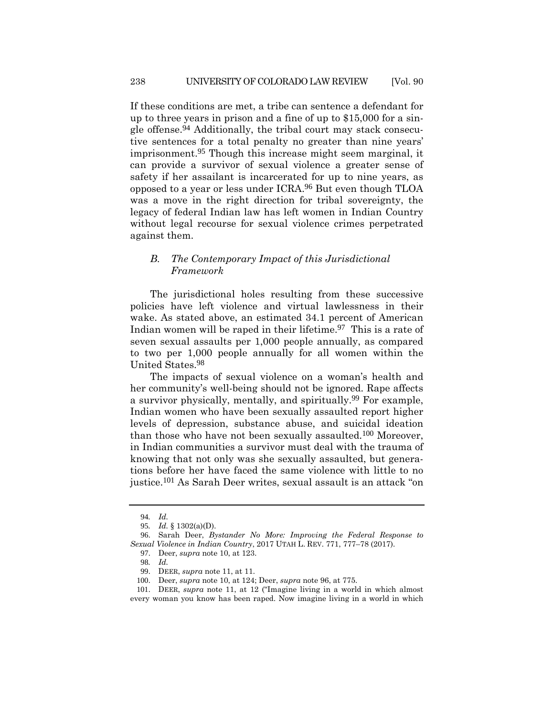If these conditions are met, a tribe can sentence a defendant for up to three years in prison and a fine of up to \$15,000 for a single offense.94 Additionally, the tribal court may stack consecutive sentences for a total penalty no greater than nine years' imprisonment.95 Though this increase might seem marginal, it can provide a survivor of sexual violence a greater sense of safety if her assailant is incarcerated for up to nine years, as opposed to a year or less under ICRA.96 But even though TLOA was a move in the right direction for tribal sovereignty, the legacy of federal Indian law has left women in Indian Country without legal recourse for sexual violence crimes perpetrated against them.

# *B. The Contemporary Impact of this Jurisdictional Framework*

The jurisdictional holes resulting from these successive policies have left violence and virtual lawlessness in their wake. As stated above, an estimated 34.1 percent of American Indian women will be raped in their lifetime.<sup>97</sup> This is a rate of seven sexual assaults per 1,000 people annually, as compared to two per 1,000 people annually for all women within the United States.98

The impacts of sexual violence on a woman's health and her community's well-being should not be ignored. Rape affects a survivor physically, mentally, and spiritually.99 For example, Indian women who have been sexually assaulted report higher levels of depression, substance abuse, and suicidal ideation than those who have not been sexually assaulted.100 Moreover, in Indian communities a survivor must deal with the trauma of knowing that not only was she sexually assaulted, but generations before her have faced the same violence with little to no justice.101 As Sarah Deer writes, sexual assault is an attack "on

<sup>94</sup>*. Id.*

<sup>95</sup>*. Id.* § 1302(a)(D).

<sup>96</sup>. Sarah Deer, *Bystander No More: Improving the Federal Response to Sexual Violence in Indian Country*, 2017 UTAH L. REV. 771, 777–78 (2017).

<sup>97</sup>. Deer, *supra* note 10, at 123.

<sup>98</sup>*. Id.*

<sup>99</sup>. DEER, *supra* note 11, at 11.

<sup>100</sup>. Deer, *supra* note 10, at 124; Deer, *supra* note 96, at 775.

<sup>101</sup>. DEER, *supra* note 11, at 12 ("Imagine living in a world in which almost every woman you know has been raped. Now imagine living in a world in which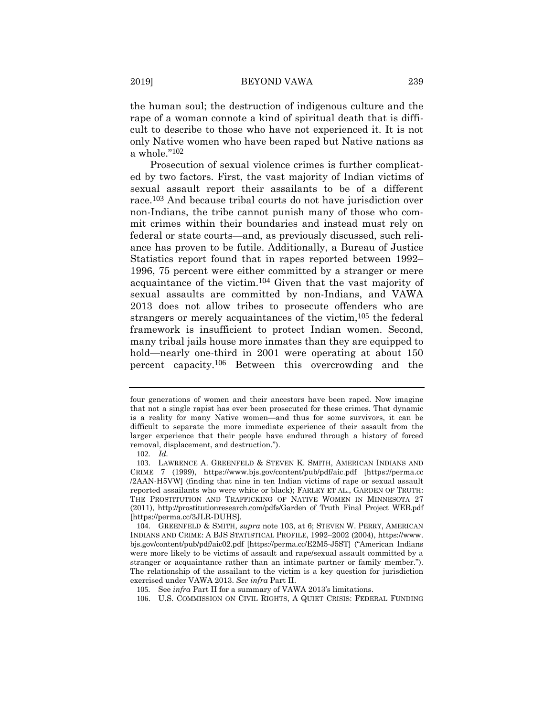the human soul; the destruction of indigenous culture and the rape of a woman connote a kind of spiritual death that is difficult to describe to those who have not experienced it. It is not only Native women who have been raped but Native nations as a whole."102

Prosecution of sexual violence crimes is further complicated by two factors. First, the vast majority of Indian victims of sexual assault report their assailants to be of a different race.103 And because tribal courts do not have jurisdiction over non-Indians, the tribe cannot punish many of those who commit crimes within their boundaries and instead must rely on federal or state courts—and, as previously discussed, such reliance has proven to be futile. Additionally, a Bureau of Justice Statistics report found that in rapes reported between 1992– 1996, 75 percent were either committed by a stranger or mere acquaintance of the victim.104 Given that the vast majority of sexual assaults are committed by non-Indians, and VAWA 2013 does not allow tribes to prosecute offenders who are strangers or merely acquaintances of the victim,<sup>105</sup> the federal framework is insufficient to protect Indian women. Second, many tribal jails house more inmates than they are equipped to hold—nearly one-third in 2001 were operating at about 150 percent capacity.106 Between this overcrowding and the

four generations of women and their ancestors have been raped. Now imagine that not a single rapist has ever been prosecuted for these crimes. That dynamic is a reality for many Native women—and thus for some survivors, it can be difficult to separate the more immediate experience of their assault from the larger experience that their people have endured through a history of forced removal, displacement, and destruction.").

<sup>102</sup>*. Id.*

<sup>103</sup>. LAWRENCE A. GREENFELD & STEVEN K. SMITH, AMERICAN INDIANS AND CRIME 7 (1999), https://www.bjs.gov/content/pub/pdf/aic.pdf [https://perma.cc /2AAN-H5VW] (finding that nine in ten Indian victims of rape or sexual assault reported assailants who were white or black); FARLEY ET AL., GARDEN OF TRUTH: THE PROSTITUTION AND TRAFFICKING OF NATIVE WOMEN IN MINNESOTA 27 (2011), http://prostitutionresearch.com/pdfs/Garden\_of\_Truth\_Final\_Project\_WEB.pdf [https://perma.cc/3JLR-DUHS].

<sup>104</sup>. GREENFELD & SMITH, *supra* note 103, at 6; STEVEN W. PERRY, AMERICAN INDIANS AND CRIME: A BJS STATISTICAL PROFILE, 1992–2002 (2004), https://www. bjs.gov/content/pub/pdf/aic02.pdf [https://perma.cc/E2M5-J5ST] ("American Indians were more likely to be victims of assault and rape/sexual assault committed by a stranger or acquaintance rather than an intimate partner or family member."). The relationship of the assailant to the victim is a key question for jurisdiction exercised under VAWA 2013. *See infra* Part II.

<sup>105</sup>*.* See *infra* Part II for a summary of VAWA 2013's limitations.

<sup>106</sup>. U.S. COMMISSION ON CIVIL RIGHTS, A QUIET CRISIS: FEDERAL FUNDING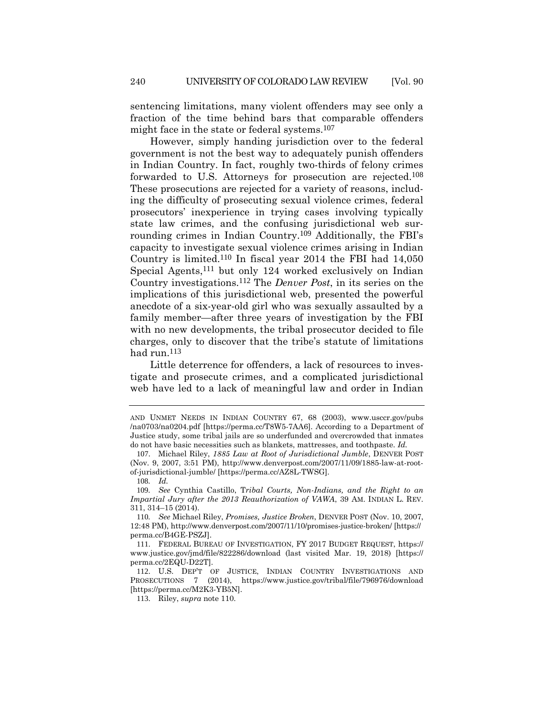sentencing limitations, many violent offenders may see only a fraction of the time behind bars that comparable offenders might face in the state or federal systems.107

However, simply handing jurisdiction over to the federal government is not the best way to adequately punish offenders in Indian Country. In fact, roughly two-thirds of felony crimes forwarded to U.S. Attorneys for prosecution are rejected.108 These prosecutions are rejected for a variety of reasons, including the difficulty of prosecuting sexual violence crimes, federal prosecutors' inexperience in trying cases involving typically state law crimes, and the confusing jurisdictional web surrounding crimes in Indian Country.109 Additionally, the FBI's capacity to investigate sexual violence crimes arising in Indian Country is limited.110 In fiscal year 2014 the FBI had 14,050 Special Agents,111 but only 124 worked exclusively on Indian Country investigations.112 The *Denver Post*, in its series on the implications of this jurisdictional web, presented the powerful anecdote of a six-year-old girl who was sexually assaulted by a family member—after three years of investigation by the FBI with no new developments, the tribal prosecutor decided to file charges, only to discover that the tribe's statute of limitations had run.113

Little deterrence for offenders, a lack of resources to investigate and prosecute crimes, and a complicated jurisdictional web have led to a lack of meaningful law and order in Indian

108*. Id.*

AND UNMET NEEDS IN INDIAN COUNTRY 67, 68 (2003), www.usccr.gov/pubs /na0703/na0204.pdf [https://perma.cc/T8W5-7AA6]. According to a Department of Justice study, some tribal jails are so underfunded and overcrowded that inmates do not have basic necessities such as blankets, mattresses, and toothpaste. *Id.*

<sup>107</sup>. Michael Riley, *1885 Law at Root of Jurisdictional Jumble*, DENVER POST (Nov. 9, 2007, 3:51 PM), http://www.denverpost.com/2007/11/09/1885-law-at-rootof-jurisdictional-jumble/ [https://perma.cc/AZ8L-TWSG].

<sup>109</sup>*. See* Cynthia Castillo, T*ribal Courts, Non-Indians, and the Right to an Impartial Jury after the 2013 Reauthorization of VAWA*, 39 AM. INDIAN L. REV. 311, 314–15 (2014).

<sup>110</sup>*. See* Michael Riley, *Promises, Justice Broken*, DENVER POST (Nov. 10, 2007, 12:48 PM), http://www.denverpost.com/2007/11/10/promises-justice-broken/ [https:// perma.cc/B4GE-PSZJ].

<sup>111</sup>. FEDERAL BUREAU OF INVESTIGATION, FY 2017 BUDGET REQUEST, https:// www.justice.gov/jmd/file/822286/download (last visited Mar. 19, 2018) [https:// perma.cc/2EQU-D22T].

<sup>112</sup>. U.S. DEP'T OF JUSTICE, INDIAN COUNTRY INVESTIGATIONS AND PROSECUTIONS 7 (2014), https://www.justice.gov/tribal/file/796976/download [https://perma.cc/M2K3-YB5N].

<sup>113</sup>. Riley, *supra* note 110.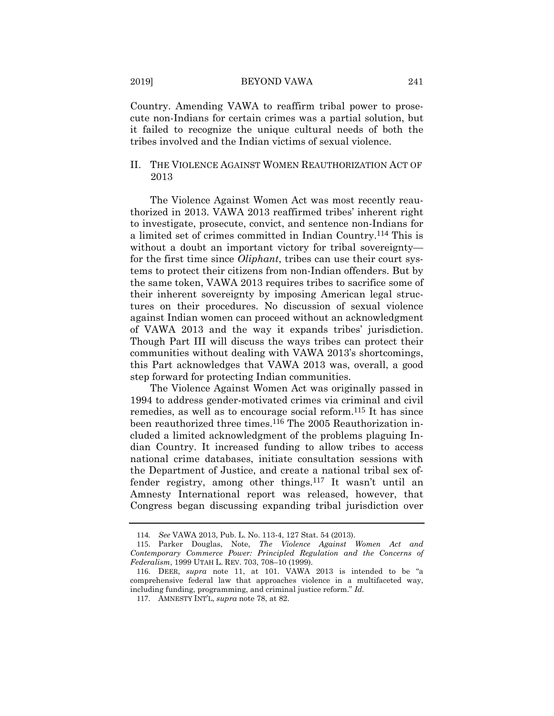Country. Amending VAWA to reaffirm tribal power to prosecute non-Indians for certain crimes was a partial solution, but it failed to recognize the unique cultural needs of both the tribes involved and the Indian victims of sexual violence.

# II. THE VIOLENCE AGAINST WOMEN REAUTHORIZATION ACT OF 2013

The Violence Against Women Act was most recently reauthorized in 2013. VAWA 2013 reaffirmed tribes' inherent right to investigate, prosecute, convict, and sentence non-Indians for a limited set of crimes committed in Indian Country.114 This is without a doubt an important victory for tribal sovereignty for the first time since *Oliphant*, tribes can use their court systems to protect their citizens from non-Indian offenders. But by the same token, VAWA 2013 requires tribes to sacrifice some of their inherent sovereignty by imposing American legal structures on their procedures. No discussion of sexual violence against Indian women can proceed without an acknowledgment of VAWA 2013 and the way it expands tribes' jurisdiction. Though Part III will discuss the ways tribes can protect their communities without dealing with VAWA 2013's shortcomings, this Part acknowledges that VAWA 2013 was, overall, a good step forward for protecting Indian communities.

The Violence Against Women Act was originally passed in 1994 to address gender-motivated crimes via criminal and civil remedies, as well as to encourage social reform.115 It has since been reauthorized three times.116 The 2005 Reauthorization included a limited acknowledgment of the problems plaguing Indian Country. It increased funding to allow tribes to access national crime databases, initiate consultation sessions with the Department of Justice, and create a national tribal sex offender registry, among other things.117 It wasn't until an Amnesty International report was released, however, that Congress began discussing expanding tribal jurisdiction over

<sup>114</sup>*. See* VAWA 2013, Pub. L. No. 113-4, 127 Stat. 54 (2013).

<sup>115</sup>. Parker Douglas, Note, *The Violence Against Women Act and Contemporary Commerce Power: Principled Regulation and the Concerns of Federalism*, 1999 UTAH L. REV. 703, 708–10 (1999).

<sup>116</sup>. DEER, *supra* note 11, at 101. VAWA 2013 is intended to be "a comprehensive federal law that approaches violence in a multifaceted way, including funding, programming, and criminal justice reform." *Id.*

<sup>117</sup>. AMNESTY INT'L, *supra* note 78, at 82.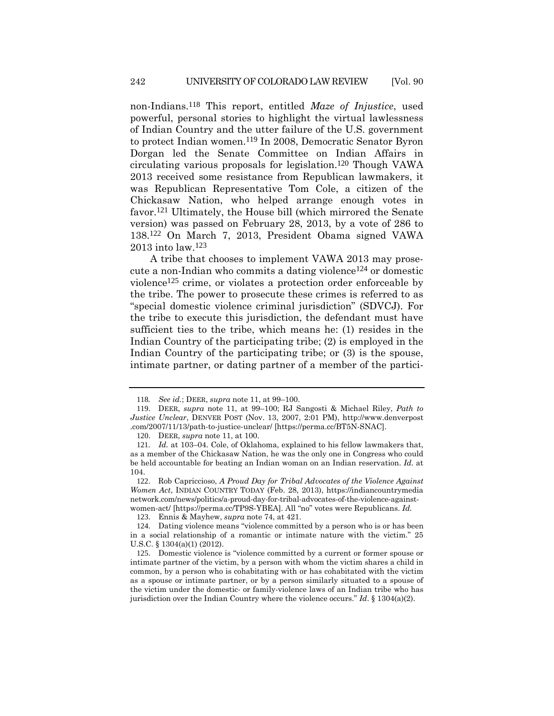non-Indians.118 This report, entitled *Maze of Injustice*, used powerful, personal stories to highlight the virtual lawlessness of Indian Country and the utter failure of the U.S. government to protect Indian women.119 In 2008, Democratic Senator Byron Dorgan led the Senate Committee on Indian Affairs in circulating various proposals for legislation.120 Though VAWA 2013 received some resistance from Republican lawmakers, it was Republican Representative Tom Cole, a citizen of the Chickasaw Nation, who helped arrange enough votes in favor.121 Ultimately, the House bill (which mirrored the Senate version) was passed on February 28, 2013, by a vote of 286 to 138.122 On March 7, 2013, President Obama signed VAWA 2013 into law.123

A tribe that chooses to implement VAWA 2013 may prosecute a non-Indian who commits a dating violence124 or domestic violence125 crime, or violates a protection order enforceable by the tribe. The power to prosecute these crimes is referred to as "special domestic violence criminal jurisdiction" (SDVCJ). For the tribe to execute this jurisdiction, the defendant must have sufficient ties to the tribe, which means he: (1) resides in the Indian Country of the participating tribe; (2) is employed in the Indian Country of the participating tribe; or (3) is the spouse, intimate partner, or dating partner of a member of the partici-

<sup>118</sup>*. See id.*; DEER, *supra* note 11, at 99–100.

<sup>119</sup>. DEER, *supra* note 11, at 99–100; RJ Sangosti & Michael Riley, *Path to Justice Unclear*, DENVER POST (Nov. 13, 2007, 2:01 PM), http://www.denverpost .com/2007/11/13/path-to-justice-unclear/ [https://perma.cc/BT5N-SNAC].

<sup>120</sup>. DEER, *supra* note 11, at 100.

<sup>121</sup>*. Id.* at 103–04. Cole, of Oklahoma, explained to his fellow lawmakers that, as a member of the Chickasaw Nation, he was the only one in Congress who could be held accountable for beating an Indian woman on an Indian reservation. *Id.* at 104.

<sup>122</sup>. Rob Capriccioso, *A Proud Day for Tribal Advocates of the Violence Against Women Act*, INDIAN COUNTRY TODAY (Feb. 28, 2013), https://indiancountrymedia network.com/news/politics/a-proud-day-for-tribal-advocates-of-the-violence-againstwomen-act/ [https://perma.cc/TP9S-YBEA]. All "no" votes were Republicans. *Id.*

<sup>123</sup>. Ennis & Mayhew, *supra* note 74, at 421.

<sup>124</sup>. Dating violence means "violence committed by a person who is or has been in a social relationship of a romantic or intimate nature with the victim." 25 U.S.C. § 1304(a)(1) (2012).

<sup>125</sup>. Domestic violence is "violence committed by a current or former spouse or intimate partner of the victim, by a person with whom the victim shares a child in common, by a person who is cohabitating with or has cohabitated with the victim as a spouse or intimate partner, or by a person similarly situated to a spouse of the victim under the domestic- or family-violence laws of an Indian tribe who has jurisdiction over the Indian Country where the violence occurs." *Id*. § 1304(a)(2).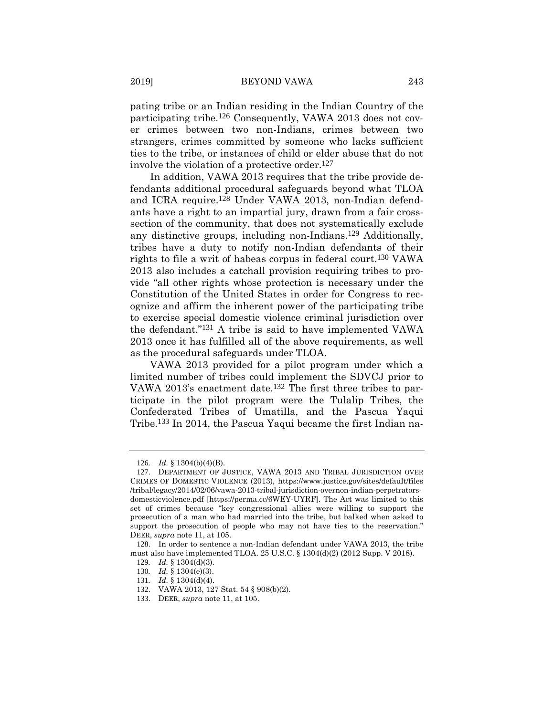pating tribe or an Indian residing in the Indian Country of the participating tribe.126 Consequently, VAWA 2013 does not cover crimes between two non-Indians, crimes between two strangers, crimes committed by someone who lacks sufficient ties to the tribe, or instances of child or elder abuse that do not involve the violation of a protective order.127

In addition, VAWA 2013 requires that the tribe provide defendants additional procedural safeguards beyond what TLOA and ICRA require.128 Under VAWA 2013, non-Indian defendants have a right to an impartial jury, drawn from a fair crosssection of the community, that does not systematically exclude any distinctive groups, including non-Indians.129 Additionally, tribes have a duty to notify non-Indian defendants of their rights to file a writ of habeas corpus in federal court.130 VAWA 2013 also includes a catchall provision requiring tribes to provide "all other rights whose protection is necessary under the Constitution of the United States in order for Congress to recognize and affirm the inherent power of the participating tribe to exercise special domestic violence criminal jurisdiction over the defendant."131 A tribe is said to have implemented VAWA 2013 once it has fulfilled all of the above requirements, as well as the procedural safeguards under TLOA.

VAWA 2013 provided for a pilot program under which a limited number of tribes could implement the SDVCJ prior to VAWA 2013's enactment date.<sup>132</sup> The first three tribes to participate in the pilot program were the Tulalip Tribes, the Confederated Tribes of Umatilla, and the Pascua Yaqui Tribe.133 In 2014, the Pascua Yaqui became the first Indian na-

<sup>126</sup>*. Id.* § 1304(b)(4)(B).

<sup>127</sup>. DEPARTMENT OF JUSTICE, VAWA 2013 AND TRIBAL JURISDICTION OVER CRIMES OF DOMESTIC VIOLENCE (2013), https://www.justice.gov/sites/default/files /tribal/legacy/2014/02/06/vawa-2013-tribal-jurisdiction-overnon-indian-perpetratorsdomesticviolence.pdf [https://perma.cc/6WEY-UYRF]. The Act was limited to this set of crimes because "key congressional allies were willing to support the prosecution of a man who had married into the tribe, but balked when asked to support the prosecution of people who may not have ties to the reservation." DEER, *supra* note 11, at 105.

<sup>128</sup>. In order to sentence a non-Indian defendant under VAWA 2013, the tribe must also have implemented TLOA. 25 U.S.C. § 1304(d)(2) (2012 Supp. V 2018).

<sup>129</sup>*. Id.* § 1304(d)(3).

<sup>130</sup>*. Id.* § 1304(e)(3).

<sup>131</sup>*. Id.* § 1304(d)(4).

<sup>132</sup>. VAWA 2013, 127 Stat. 54 § 908(b)(2).

<sup>133</sup>. DEER, *supra* note 11, at 105.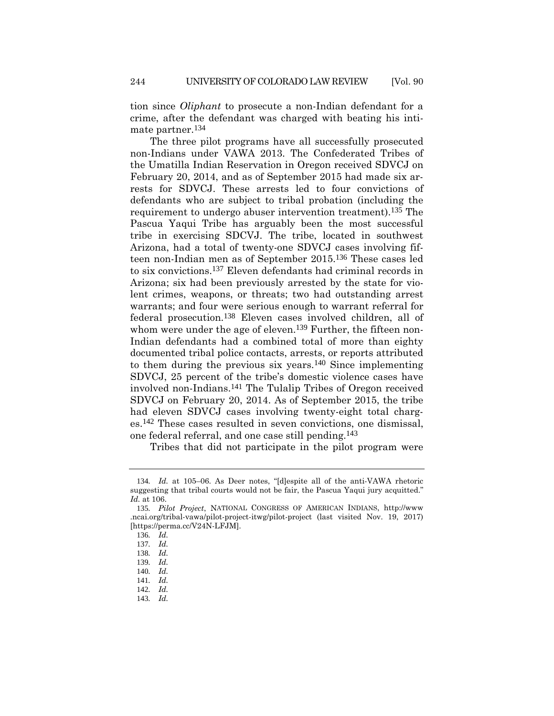tion since *Oliphant* to prosecute a non-Indian defendant for a crime, after the defendant was charged with beating his intimate partner.134

The three pilot programs have all successfully prosecuted non-Indians under VAWA 2013. The Confederated Tribes of the Umatilla Indian Reservation in Oregon received SDVCJ on February 20, 2014, and as of September 2015 had made six arrests for SDVCJ. These arrests led to four convictions of defendants who are subject to tribal probation (including the requirement to undergo abuser intervention treatment).<sup>135</sup> The Pascua Yaqui Tribe has arguably been the most successful tribe in exercising SDCVJ. The tribe, located in southwest Arizona, had a total of twenty-one SDVCJ cases involving fifteen non-Indian men as of September 2015.136 These cases led to six convictions.137 Eleven defendants had criminal records in Arizona; six had been previously arrested by the state for violent crimes, weapons, or threats; two had outstanding arrest warrants; and four were serious enough to warrant referral for federal prosecution.138 Eleven cases involved children, all of whom were under the age of eleven.<sup>139</sup> Further, the fifteen non-Indian defendants had a combined total of more than eighty documented tribal police contacts, arrests, or reports attributed to them during the previous six years.<sup>140</sup> Since implementing SDVCJ, 25 percent of the tribe's domestic violence cases have involved non-Indians.141 The Tulalip Tribes of Oregon received SDVCJ on February 20, 2014. As of September 2015, the tribe had eleven SDVCJ cases involving twenty-eight total charges.142 These cases resulted in seven convictions, one dismissal, one federal referral, and one case still pending.143

Tribes that did not participate in the pilot program were

<sup>134</sup>*. Id.* at 105–06. As Deer notes, "[d]espite all of the anti-VAWA rhetoric suggesting that tribal courts would not be fair, the Pascua Yaqui jury acquitted." *Id.* at 106.

<sup>135</sup>*. Pilot Project*, NATIONAL CONGRESS OF AMERICAN INDIANS, http://www .ncai.org/tribal-vawa/pilot-project-itwg/pilot-project (last visited Nov. 19, 2017) [https://perma.cc/V24N-LFJM].

<sup>136</sup>*. Id.*

<sup>137</sup>*. Id.*

<sup>138</sup>*. Id.*

<sup>139</sup>*. Id.*

<sup>140</sup>*. Id.* 141*. Id.*

<sup>142</sup>*. Id.*

<sup>143</sup>*. Id.*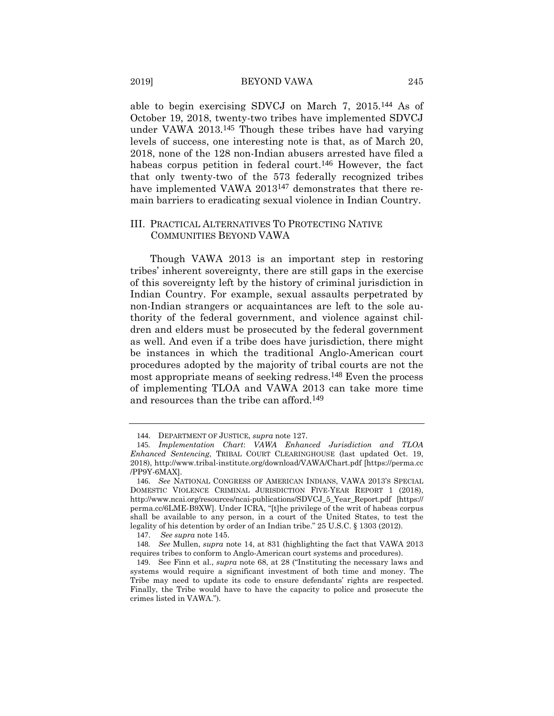able to begin exercising SDVCJ on March 7, 2015.144 As of October 19, 2018, twenty-two tribes have implemented SDVCJ under VAWA 2013.145 Though these tribes have had varying levels of success, one interesting note is that, as of March 20, 2018, none of the 128 non-Indian abusers arrested have filed a habeas corpus petition in federal court.<sup>146</sup> However, the fact that only twenty-two of the 573 federally recognized tribes have implemented VAWA 2013<sup>147</sup> demonstrates that there remain barriers to eradicating sexual violence in Indian Country.

## III. PRACTICAL ALTERNATIVES TO PROTECTING NATIVE COMMUNITIES BEYOND VAWA

Though VAWA 2013 is an important step in restoring tribes' inherent sovereignty, there are still gaps in the exercise of this sovereignty left by the history of criminal jurisdiction in Indian Country. For example, sexual assaults perpetrated by non-Indian strangers or acquaintances are left to the sole authority of the federal government, and violence against children and elders must be prosecuted by the federal government as well. And even if a tribe does have jurisdiction, there might be instances in which the traditional Anglo-American court procedures adopted by the majority of tribal courts are not the most appropriate means of seeking redress.148 Even the process of implementing TLOA and VAWA 2013 can take more time and resources than the tribe can afford.149

<sup>144</sup>. DEPARTMENT OF JUSTICE, *supra* note 127.

<sup>145</sup>*. Implementation Chart*: *VAWA Enhanced Jurisdiction and TLOA Enhanced Sentencing*, TRIBAL COURT CLEARINGHOUSE (last updated Oct. 19, 2018), http://www.tribal-institute.org/download/VAWA/Chart.pdf [https://perma.cc /PP9Y-6MAX].

<sup>146</sup>. *See* NATIONAL CONGRESS OF AMERICAN INDIANS, VAWA 2013'S SPECIAL DOMESTIC VIOLENCE CRIMINAL JURISDICTION FIVE-YEAR REPORT 1 (2018), http://www.ncai.org/resources/ncai-publications/SDVCJ\_5\_Year\_Report.pdf [https:// perma.cc/6LME-B9XW]. Under ICRA, "[t]he privilege of the writ of habeas corpus shall be available to any person, in a court of the United States, to test the legality of his detention by order of an Indian tribe." 25 U.S.C. § 1303 (2012).

<sup>147</sup>. *See supra* note 145.

<sup>148</sup>*. See* Mullen, *supra* note 14, at 831 (highlighting the fact that VAWA 2013 requires tribes to conform to Anglo-American court systems and procedures).

<sup>149</sup>. See Finn et al., *supra* note 68, at 28 ("Instituting the necessary laws and systems would require a significant investment of both time and money. The Tribe may need to update its code to ensure defendants' rights are respected. Finally, the Tribe would have to have the capacity to police and prosecute the crimes listed in VAWA.").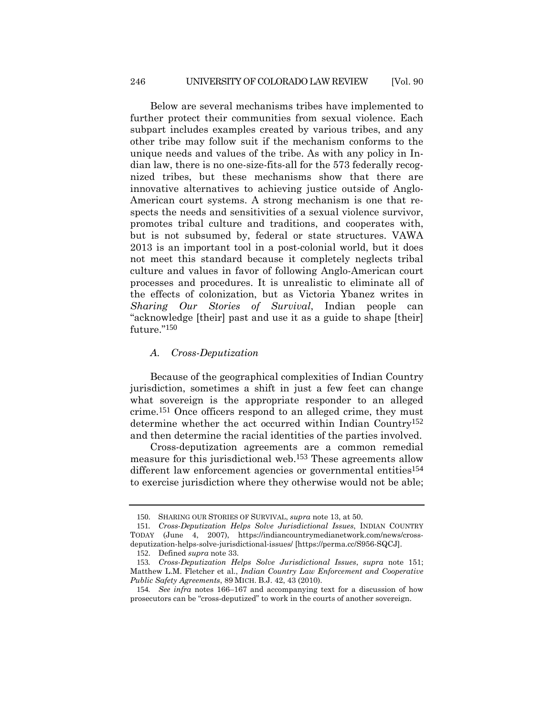Below are several mechanisms tribes have implemented to further protect their communities from sexual violence. Each subpart includes examples created by various tribes, and any other tribe may follow suit if the mechanism conforms to the unique needs and values of the tribe. As with any policy in Indian law, there is no one-size-fits-all for the 573 federally recognized tribes, but these mechanisms show that there are innovative alternatives to achieving justice outside of Anglo-American court systems. A strong mechanism is one that respects the needs and sensitivities of a sexual violence survivor, promotes tribal culture and traditions, and cooperates with, but is not subsumed by, federal or state structures. VAWA 2013 is an important tool in a post-colonial world, but it does not meet this standard because it completely neglects tribal culture and values in favor of following Anglo-American court processes and procedures. It is unrealistic to eliminate all of the effects of colonization, but as Victoria Ybanez writes in *Sharing Our Stories of Survival*, Indian people can "acknowledge [their] past and use it as a guide to shape [their] future."150

#### *A. Cross-Deputization*

Because of the geographical complexities of Indian Country jurisdiction, sometimes a shift in just a few feet can change what sovereign is the appropriate responder to an alleged crime.151 Once officers respond to an alleged crime, they must determine whether the act occurred within Indian Country152 and then determine the racial identities of the parties involved.

Cross-deputization agreements are a common remedial measure for this jurisdictional web.153 These agreements allow different law enforcement agencies or governmental entities<sup>154</sup> to exercise jurisdiction where they otherwise would not be able;

<sup>150</sup>. SHARING OUR STORIES OF SURVIVAL, *supra* note 13, at 50.

<sup>151</sup>*. Cross-Deputization Helps Solve Jurisdictional Issues*, INDIAN COUNTRY TODAY (June 4, 2007), https://indiancountrymedianetwork.com/news/crossdeputization-helps-solve-jurisdictional-issues/ [https://perma.cc/S956-SQCJ].

<sup>152</sup>. Defined *supra* note 33.

<sup>153</sup>*. Cross-Deputization Helps Solve Jurisdictional Issues*, *supra* note 151; Matthew L.M. Fletcher et al., *Indian Country Law Enforcement and Cooperative Public Safety Agreements*, 89 MICH. B.J. 42, 43 (2010).

<sup>154</sup>*. See infra* notes 166–167 and accompanying text for a discussion of how prosecutors can be "cross-deputized" to work in the courts of another sovereign.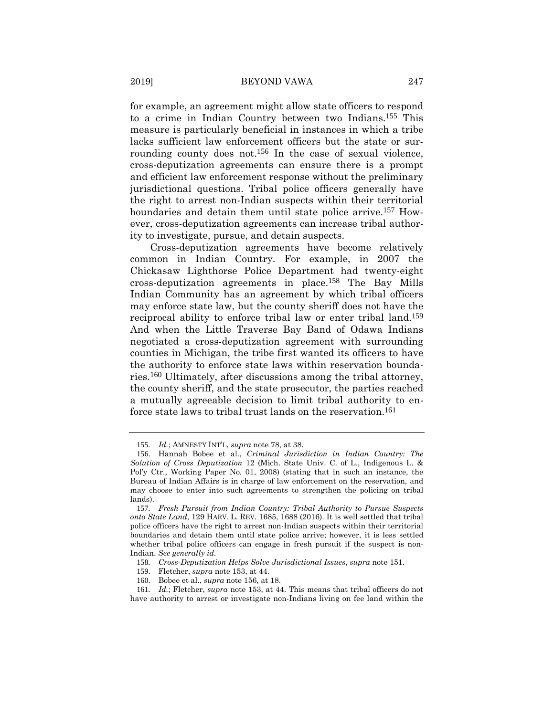for example, an agreement might allow state officers to respond to a crime in Indian Country between two Indians.155 This measure is particularly beneficial in instances in which a tribe lacks sufficient law enforcement officers but the state or surrounding county does not.<sup>156</sup> In the case of sexual violence, cross-deputization agreements can ensure there is a prompt and efficient law enforcement response without the preliminary jurisdictional questions. Tribal police officers generally have the right to arrest non-Indian suspects within their territorial boundaries and detain them until state police arrive.157 However, cross-deputization agreements can increase tribal authority to investigate, pursue, and detain suspects.

Cross-deputization agreements have become relatively common in Indian Country. For example, in 2007 the Chickasaw Lighthorse Police Department had twenty-eight cross-deputization agreements in place.158 The Bay Mills Indian Community has an agreement by which tribal officers may enforce state law, but the county sheriff does not have the reciprocal ability to enforce tribal law or enter tribal land.159 And when the Little Traverse Bay Band of Odawa Indians negotiated a cross-deputization agreement with surrounding counties in Michigan, the tribe first wanted its officers to have the authority to enforce state laws within reservation boundaries.160 Ultimately, after discussions among the tribal attorney, the county sheriff, and the state prosecutor, the parties reached a mutually agreeable decision to limit tribal authority to enforce state laws to tribal trust lands on the reservation.<sup>161</sup>

<sup>155</sup>*. Id.*; AMNESTY INT'L, *supra* note 78, at 38.

<sup>156</sup>. Hannah Bobee et al., *Criminal Jurisdiction in Indian Country: The Solution of Cross Deputization* 12 (Mich. State Univ. C. of L., Indigenous L. & Pol'y Ctr., Working Paper No. 01, 2008) (stating that in such an instance, the Bureau of Indian Affairs is in charge of law enforcement on the reservation, and may choose to enter into such agreements to strengthen the policing on tribal lands).

<sup>157</sup>*. Fresh Pursuit from Indian Country: Tribal Authority to Pursue Suspects onto State Land*, 129 HARV. L. REV. 1685, 1688 (2016). It is well settled that tribal police officers have the right to arrest non-Indian suspects within their territorial boundaries and detain them until state police arrive; however, it is less settled whether tribal police officers can engage in fresh pursuit if the suspect is non-Indian. *See generally id.*

<sup>158</sup>*. Cross-Deputization Helps Solve Jurisdictional Issues*, *supra* note 151.

<sup>159</sup>. Fletcher, *supra* note 153, at 44.

<sup>160</sup>. Bobee et al., *supra* note 156, at 18.

<sup>161</sup>*. Id.*; Fletcher, *supra* note 153, at 44. This means that tribal officers do not have authority to arrest or investigate non-Indians living on fee land within the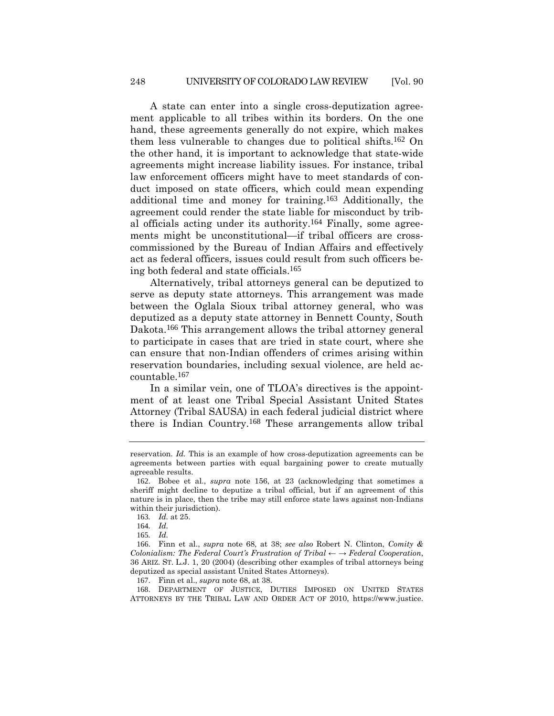A state can enter into a single cross-deputization agreement applicable to all tribes within its borders. On the one hand, these agreements generally do not expire, which makes them less vulnerable to changes due to political shifts.162 On the other hand, it is important to acknowledge that state-wide agreements might increase liability issues. For instance, tribal law enforcement officers might have to meet standards of conduct imposed on state officers, which could mean expending additional time and money for training.163 Additionally, the agreement could render the state liable for misconduct by tribal officials acting under its authority.164 Finally, some agreements might be unconstitutional—if tribal officers are crosscommissioned by the Bureau of Indian Affairs and effectively act as federal officers, issues could result from such officers being both federal and state officials.165

Alternatively, tribal attorneys general can be deputized to serve as deputy state attorneys. This arrangement was made between the Oglala Sioux tribal attorney general, who was deputized as a deputy state attorney in Bennett County, South Dakota.166 This arrangement allows the tribal attorney general to participate in cases that are tried in state court, where she can ensure that non-Indian offenders of crimes arising within reservation boundaries, including sexual violence, are held accountable.167

In a similar vein, one of TLOA's directives is the appointment of at least one Tribal Special Assistant United States Attorney (Tribal SAUSA) in each federal judicial district where there is Indian Country.168 These arrangements allow tribal

167. Finn et al., *supra* note 68, at 38.

168. DEPARTMENT OF JUSTICE, DUTIES IMPOSED ON UNITED STATES ATTORNEYS BY THE TRIBAL LAW AND ORDER ACT OF 2010, https://www.justice.

reservation. *Id.* This is an example of how cross-deputization agreements can be agreements between parties with equal bargaining power to create mutually agreeable results.

<sup>162</sup>. Bobee et al., *supra* note 156, at 23 (acknowledging that sometimes a sheriff might decline to deputize a tribal official, but if an agreement of this nature is in place, then the tribe may still enforce state laws against non-Indians within their jurisdiction).

<sup>163</sup>*. Id.* at 25.

<sup>164</sup>*. Id.*

<sup>165</sup>*. Id.*

<sup>166</sup>. Finn et al., *supra* note 68, at 38; *see also* Robert N. Clinton, *Comity & Colonialism: The Federal Court's Frustration of Tribal*  $\leftarrow \rightarrow$  *Federal Cooperation*, 36 ARIZ. ST. L.J. 1, 20 (2004) (describing other examples of tribal attorneys being deputized as special assistant United States Attorneys).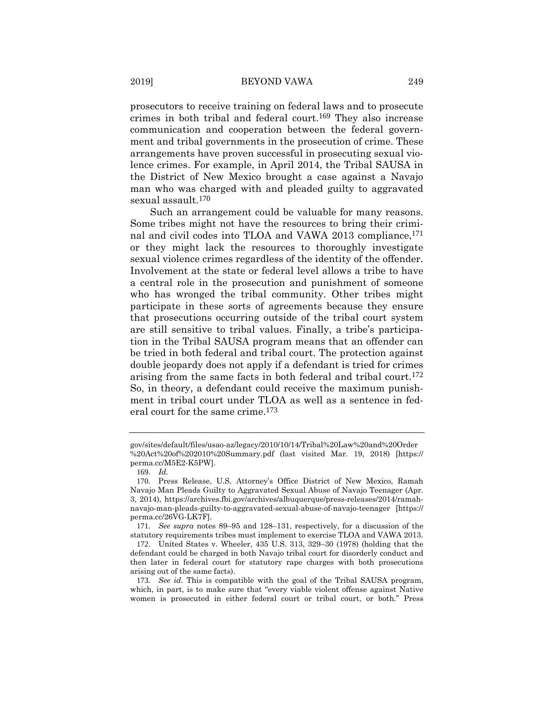prosecutors to receive training on federal laws and to prosecute crimes in both tribal and federal court.169 They also increase communication and cooperation between the federal government and tribal governments in the prosecution of crime. These arrangements have proven successful in prosecuting sexual violence crimes. For example, in April 2014, the Tribal SAUSA in the District of New Mexico brought a case against a Navajo man who was charged with and pleaded guilty to aggravated sexual assault.170

Such an arrangement could be valuable for many reasons. Some tribes might not have the resources to bring their criminal and civil codes into TLOA and VAWA 2013 compliance,<sup>171</sup> or they might lack the resources to thoroughly investigate sexual violence crimes regardless of the identity of the offender. Involvement at the state or federal level allows a tribe to have a central role in the prosecution and punishment of someone who has wronged the tribal community. Other tribes might participate in these sorts of agreements because they ensure that prosecutions occurring outside of the tribal court system are still sensitive to tribal values. Finally, a tribe's participation in the Tribal SAUSA program means that an offender can be tried in both federal and tribal court. The protection against double jeopardy does not apply if a defendant is tried for crimes arising from the same facts in both federal and tribal court.172 So, in theory, a defendant could receive the maximum punishment in tribal court under TLOA as well as a sentence in federal court for the same crime.173

gov/sites/default/files/usao-az/legacy/2010/10/14/Tribal%20Law%20and%20Order %20Act%20of%202010%20Summary.pdf (last visited Mar. 19, 2018) [https:// perma.cc/M5E2-K5PW].

<sup>169</sup>*. Id.*

<sup>170</sup>. Press Release, U.S. Attorney's Office District of New Mexico, Ramah Navajo Man Pleads Guilty to Aggravated Sexual Abuse of Navajo Teenager (Apr. 3, 2014), https://archives.fbi.gov/archives/albuquerque/press-releases/2014/ramahnavajo-man-pleads-guilty-to-aggravated-sexual-abuse-of-navajo-teenager [https:// perma.cc/26VG-LK7F].

<sup>171</sup>*. See supra* notes 89–95 and 128–131, respectively, for a discussion of the statutory requirements tribes must implement to exercise TLOA and VAWA 2013.

<sup>172</sup>. United States v. Wheeler, 435 U.S. 313, 329–30 (1978) (holding that the defendant could be charged in both Navajo tribal court for disorderly conduct and then later in federal court for statutory rape charges with both prosecutions arising out of the same facts).

<sup>173</sup>*. See id.* This is compatible with the goal of the Tribal SAUSA program, which, in part, is to make sure that "every viable violent offense against Native women is prosecuted in either federal court or tribal court, or both." Press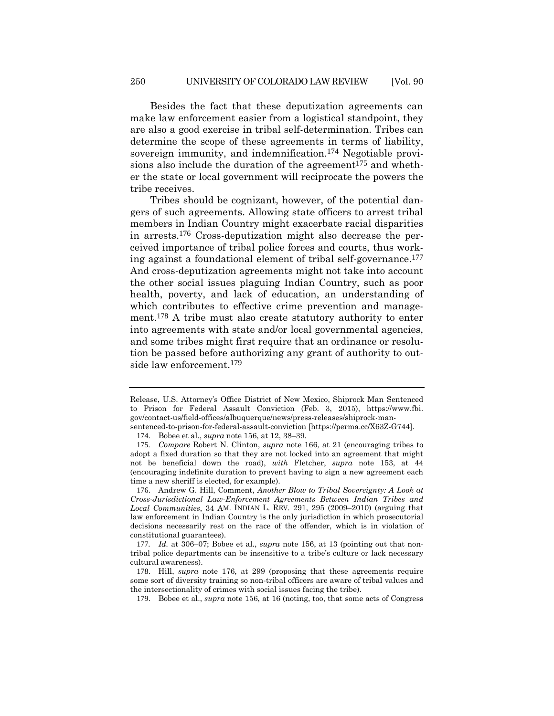Besides the fact that these deputization agreements can make law enforcement easier from a logistical standpoint, they are also a good exercise in tribal self-determination. Tribes can determine the scope of these agreements in terms of liability, sovereign immunity, and indemnification.<sup>174</sup> Negotiable provisions also include the duration of the agreement<sup>175</sup> and whether the state or local government will reciprocate the powers the tribe receives.

Tribes should be cognizant, however, of the potential dangers of such agreements. Allowing state officers to arrest tribal members in Indian Country might exacerbate racial disparities in arrests.176 Cross-deputization might also decrease the perceived importance of tribal police forces and courts, thus working against a foundational element of tribal self-governance.177 And cross-deputization agreements might not take into account the other social issues plaguing Indian Country, such as poor health, poverty, and lack of education, an understanding of which contributes to effective crime prevention and management.178 A tribe must also create statutory authority to enter into agreements with state and/or local governmental agencies, and some tribes might first require that an ordinance or resolution be passed before authorizing any grant of authority to outside law enforcement.<sup>179</sup>

Release, U.S. Attorney's Office District of New Mexico, Shiprock Man Sentenced to Prison for Federal Assault Conviction (Feb. 3, 2015), https://www.fbi. gov/contact-us/field-offices/albuquerque/news/press-releases/shiprock-man-

sentenced-to-prison-for-federal-assault-conviction [https://perma.cc/X63Z-G744].

<sup>174</sup>. Bobee et al., *supra* note 156, at 12, 38–39.

<sup>175</sup>*. Compare* Robert N. Clinton, *supra* note 166, at 21 (encouraging tribes to adopt a fixed duration so that they are not locked into an agreement that might not be beneficial down the road), *with* Fletcher, *supra* note 153, at 44 (encouraging indefinite duration to prevent having to sign a new agreement each time a new sheriff is elected, for example).

<sup>176</sup>. Andrew G. Hill, Comment, *Another Blow to Tribal Sovereignty: A Look at Cross-Jurisdictional Law-Enforcement Agreements Between Indian Tribes and Local Communities*, 34 AM. INDIAN L. REV. 291, 295 (2009–2010) (arguing that law enforcement in Indian Country is the only jurisdiction in which prosecutorial decisions necessarily rest on the race of the offender, which is in violation of constitutional guarantees).

<sup>177</sup>*. Id.* at 306–07; Bobee et al., *supra* note 156, at 13 (pointing out that nontribal police departments can be insensitive to a tribe's culture or lack necessary cultural awareness).

<sup>178</sup>. Hill, *supra* note 176, at 299 (proposing that these agreements require some sort of diversity training so non-tribal officers are aware of tribal values and the intersectionality of crimes with social issues facing the tribe).

<sup>179</sup>. Bobee et al., *supra* note 156, at 16 (noting, too, that some acts of Congress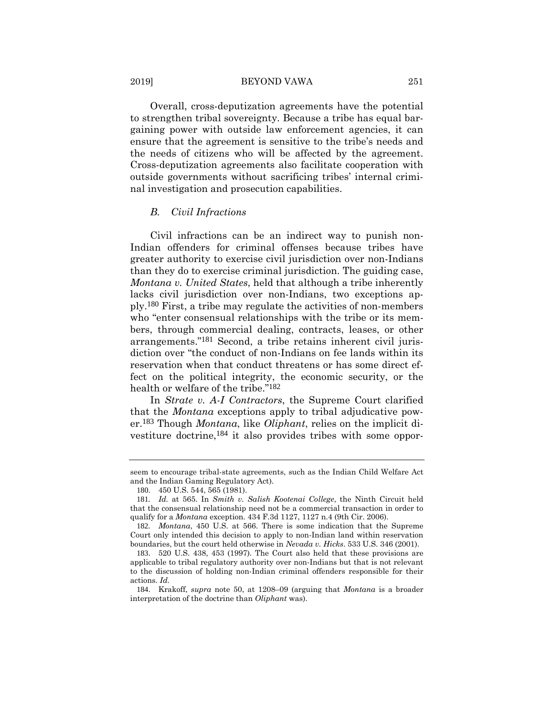#### 2019] BEYOND VAWA 251

Overall, cross-deputization agreements have the potential to strengthen tribal sovereignty. Because a tribe has equal bargaining power with outside law enforcement agencies, it can ensure that the agreement is sensitive to the tribe's needs and the needs of citizens who will be affected by the agreement. Cross-deputization agreements also facilitate cooperation with outside governments without sacrificing tribes' internal criminal investigation and prosecution capabilities.

#### *B. Civil Infractions*

Civil infractions can be an indirect way to punish non-Indian offenders for criminal offenses because tribes have greater authority to exercise civil jurisdiction over non-Indians than they do to exercise criminal jurisdiction. The guiding case, *Montana v. United States*, held that although a tribe inherently lacks civil jurisdiction over non-Indians, two exceptions apply.180 First, a tribe may regulate the activities of non-members who "enter consensual relationships with the tribe or its members, through commercial dealing, contracts, leases, or other arrangements."181 Second, a tribe retains inherent civil jurisdiction over "the conduct of non-Indians on fee lands within its reservation when that conduct threatens or has some direct effect on the political integrity, the economic security, or the health or welfare of the tribe."182

In *Strate v. A-I Contractors*, the Supreme Court clarified that the *Montana* exceptions apply to tribal adjudicative power.183 Though *Montana*, like *Oliphant*, relies on the implicit divestiture doctrine,184 it also provides tribes with some oppor-

seem to encourage tribal-state agreements, such as the Indian Child Welfare Act and the Indian Gaming Regulatory Act).

<sup>180</sup>. 450 U.S. 544, 565 (1981).

<sup>181</sup>*. Id.* at 565. In *Smith v. Salish Kootenai College*, the Ninth Circuit held that the consensual relationship need not be a commercial transaction in order to qualify for a *Montana* exception. 434 F.3d 1127, 1127 n.4 (9th Cir. 2006).

<sup>182</sup>*. Montana*, 450 U.S. at 566. There is some indication that the Supreme Court only intended this decision to apply to non-Indian land within reservation boundaries, but the court held otherwise in *Nevada v. Hicks*. 533 U.S. 346 (2001).

<sup>183</sup>. 520 U.S. 438, 453 (1997). The Court also held that these provisions are applicable to tribal regulatory authority over non-Indians but that is not relevant to the discussion of holding non-Indian criminal offenders responsible for their actions. *Id.*

<sup>184</sup>. Krakoff, *supra* note 50, at 1208–09 (arguing that *Montana* is a broader interpretation of the doctrine than *Oliphant* was).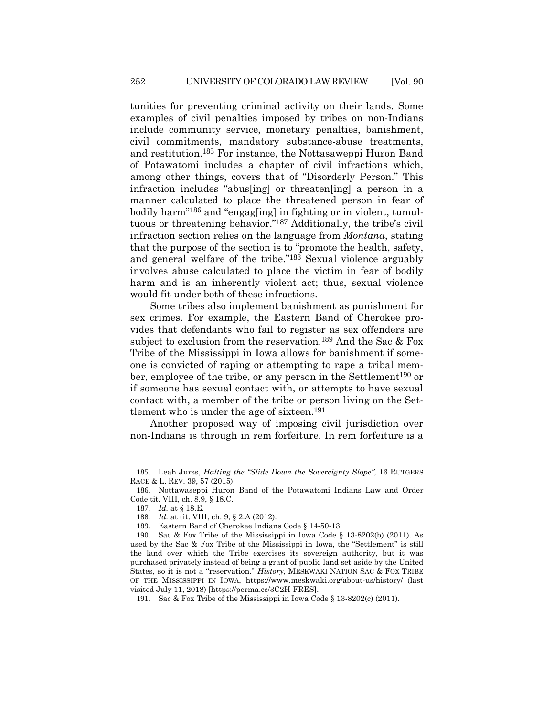tunities for preventing criminal activity on their lands. Some examples of civil penalties imposed by tribes on non-Indians include community service, monetary penalties, banishment, civil commitments, mandatory substance-abuse treatments, and restitution.185 For instance, the Nottasaweppi Huron Band of Potawatomi includes a chapter of civil infractions which, among other things, covers that of "Disorderly Person." This infraction includes "abus[ing] or threaten[ing] a person in a manner calculated to place the threatened person in fear of bodily harm"186 and "engag[ing] in fighting or in violent, tumultuous or threatening behavior."187 Additionally, the tribe's civil infraction section relies on the language from *Montana*, stating that the purpose of the section is to "promote the health, safety, and general welfare of the tribe."188 Sexual violence arguably involves abuse calculated to place the victim in fear of bodily harm and is an inherently violent act; thus, sexual violence would fit under both of these infractions.

Some tribes also implement banishment as punishment for sex crimes. For example, the Eastern Band of Cherokee provides that defendants who fail to register as sex offenders are subject to exclusion from the reservation.<sup>189</sup> And the Sac & Fox Tribe of the Mississippi in Iowa allows for banishment if someone is convicted of raping or attempting to rape a tribal member, employee of the tribe, or any person in the Settlement<sup>190</sup> or if someone has sexual contact with, or attempts to have sexual contact with, a member of the tribe or person living on the Settlement who is under the age of sixteen.191

Another proposed way of imposing civil jurisdiction over non-Indians is through in rem forfeiture. In rem forfeiture is a

<sup>185</sup>. Leah Jurss, *Halting the "Slide Down the Sovereignty Slope",* 16 RUTGERS RACE & L. REV. 39, 57 (2015).

<sup>186</sup>. Nottawaseppi Huron Band of the Potawatomi Indians Law and Order Code tit. VIII, ch. 8.9, § 18.C.

<sup>187</sup>*. Id.* at § 18.E.

<sup>188</sup>*. Id.* at tit. VIII, ch. 9, § 2.A (2012).

<sup>189</sup>. Eastern Band of Cherokee Indians Code § 14-50-13.

<sup>190</sup>. Sac & Fox Tribe of the Mississippi in Iowa Code § 13-8202(b) (2011). As used by the Sac & Fox Tribe of the Mississippi in Iowa, the "Settlement" is still the land over which the Tribe exercises its sovereign authority, but it was purchased privately instead of being a grant of public land set aside by the United States, so it is not a "reservation." *History*, MESKWAKI NATION SAC & FOX TRIBE OF THE MISSISSIPPI IN IOWA, https://www.meskwaki.org/about-us/history/ (last visited July 11, 2018) [https://perma.cc/3C2H-FRES].

<sup>191</sup>. Sac & Fox Tribe of the Mississippi in Iowa Code § 13-8202(c) (2011).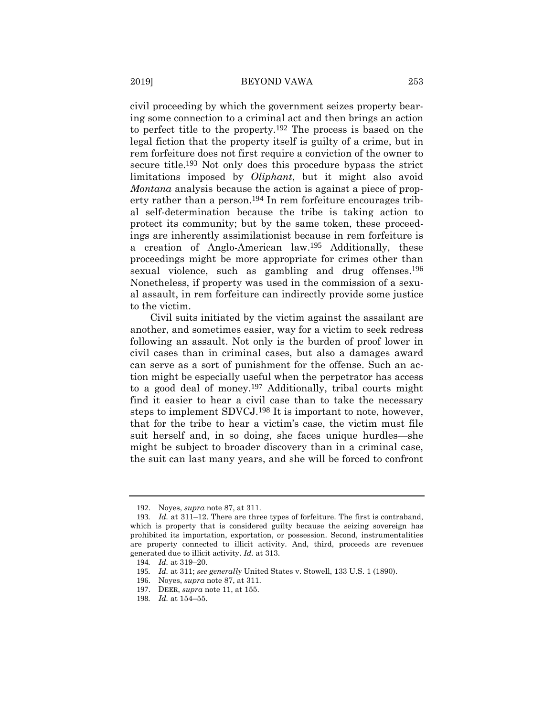civil proceeding by which the government seizes property bearing some connection to a criminal act and then brings an action to perfect title to the property.192 The process is based on the legal fiction that the property itself is guilty of a crime, but in rem forfeiture does not first require a conviction of the owner to secure title.193 Not only does this procedure bypass the strict limitations imposed by *Oliphant*, but it might also avoid *Montana* analysis because the action is against a piece of property rather than a person.<sup>194</sup> In rem forfeiture encourages tribal self-determination because the tribe is taking action to protect its community; but by the same token, these proceedings are inherently assimilationist because in rem forfeiture is a creation of Anglo-American law.195 Additionally, these proceedings might be more appropriate for crimes other than sexual violence, such as gambling and drug offenses.<sup>196</sup> Nonetheless, if property was used in the commission of a sexual assault, in rem forfeiture can indirectly provide some justice to the victim.

Civil suits initiated by the victim against the assailant are another, and sometimes easier, way for a victim to seek redress following an assault. Not only is the burden of proof lower in civil cases than in criminal cases, but also a damages award can serve as a sort of punishment for the offense. Such an action might be especially useful when the perpetrator has access to a good deal of money.197 Additionally, tribal courts might find it easier to hear a civil case than to take the necessary steps to implement SDVCJ.198 It is important to note, however, that for the tribe to hear a victim's case, the victim must file suit herself and, in so doing, she faces unique hurdles—she might be subject to broader discovery than in a criminal case, the suit can last many years, and she will be forced to confront

<sup>192</sup>. Noyes, *supra* note 87, at 311.

<sup>193</sup>*. Id.* at 311–12. There are three types of forfeiture. The first is contraband, which is property that is considered guilty because the seizing sovereign has prohibited its importation, exportation, or possession. Second, instrumentalities are property connected to illicit activity. And, third, proceeds are revenues generated due to illicit activity. *Id.* at 313.

<sup>194</sup>*. Id.* at 319–20.

<sup>195</sup>*. Id.* at 311; *see generally* United States v. Stowell, 133 U.S. 1 (1890).

<sup>196</sup>. Noyes, *supra* note 87, at 311.

<sup>197</sup>. DEER, *supra* note 11, at 155.

<sup>198</sup>*. Id.* at 154–55.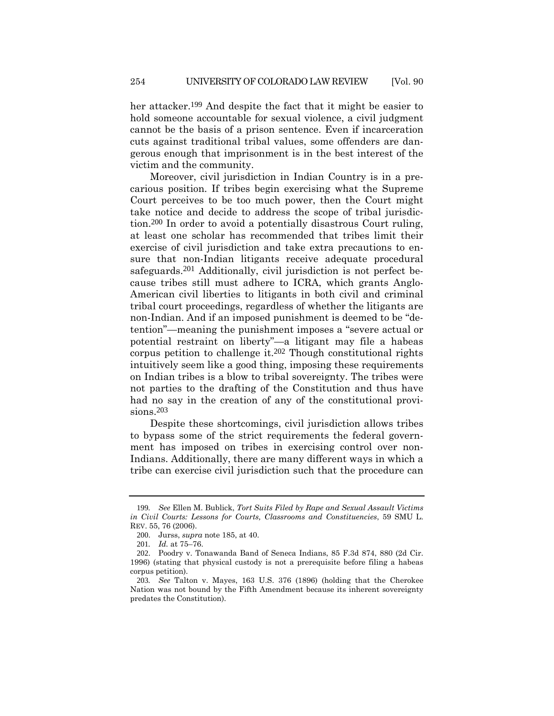her attacker.<sup>199</sup> And despite the fact that it might be easier to hold someone accountable for sexual violence, a civil judgment cannot be the basis of a prison sentence. Even if incarceration cuts against traditional tribal values, some offenders are dangerous enough that imprisonment is in the best interest of the victim and the community.

Moreover, civil jurisdiction in Indian Country is in a precarious position. If tribes begin exercising what the Supreme Court perceives to be too much power, then the Court might take notice and decide to address the scope of tribal jurisdiction.200 In order to avoid a potentially disastrous Court ruling, at least one scholar has recommended that tribes limit their exercise of civil jurisdiction and take extra precautions to ensure that non-Indian litigants receive adequate procedural safeguards.<sup>201</sup> Additionally, civil jurisdiction is not perfect because tribes still must adhere to ICRA, which grants Anglo-American civil liberties to litigants in both civil and criminal tribal court proceedings, regardless of whether the litigants are non-Indian. And if an imposed punishment is deemed to be "detention"—meaning the punishment imposes a "severe actual or potential restraint on liberty"—a litigant may file a habeas corpus petition to challenge it.202 Though constitutional rights intuitively seem like a good thing, imposing these requirements on Indian tribes is a blow to tribal sovereignty. The tribes were not parties to the drafting of the Constitution and thus have had no say in the creation of any of the constitutional provisions.203

Despite these shortcomings, civil jurisdiction allows tribes to bypass some of the strict requirements the federal government has imposed on tribes in exercising control over non-Indians. Additionally, there are many different ways in which a tribe can exercise civil jurisdiction such that the procedure can

<sup>199</sup>*. See* Ellen M. Bublick, *Tort Suits Filed by Rape and Sexual Assault Victims in Civil Courts: Lessons for Courts, Classrooms and Constituencies*, 59 SMU L. REV. 55, 76 (2006).

<sup>200</sup>. Jurss, *supra* note 185, at 40.

<sup>201</sup>*. Id.* at 75–76.

<sup>202</sup>. Poodry v. Tonawanda Band of Seneca Indians, 85 F.3d 874, 880 (2d Cir. 1996) (stating that physical custody is not a prerequisite before filing a habeas corpus petition).

<sup>203</sup>*. See* Talton v. Mayes, 163 U.S. 376 (1896) (holding that the Cherokee Nation was not bound by the Fifth Amendment because its inherent sovereignty predates the Constitution).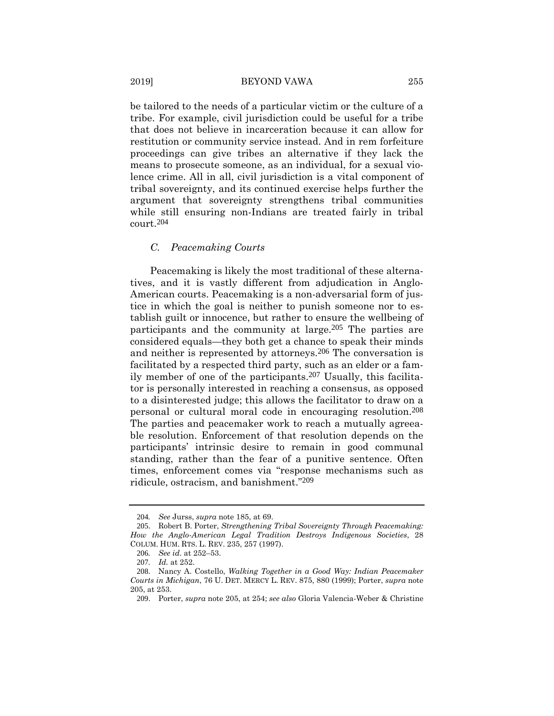be tailored to the needs of a particular victim or the culture of a tribe. For example, civil jurisdiction could be useful for a tribe that does not believe in incarceration because it can allow for restitution or community service instead. And in rem forfeiture proceedings can give tribes an alternative if they lack the means to prosecute someone, as an individual, for a sexual violence crime. All in all, civil jurisdiction is a vital component of tribal sovereignty, and its continued exercise helps further the argument that sovereignty strengthens tribal communities while still ensuring non-Indians are treated fairly in tribal court.204

#### *C. Peacemaking Courts*

Peacemaking is likely the most traditional of these alternatives, and it is vastly different from adjudication in Anglo-American courts. Peacemaking is a non-adversarial form of justice in which the goal is neither to punish someone nor to establish guilt or innocence, but rather to ensure the wellbeing of participants and the community at large.205 The parties are considered equals—they both get a chance to speak their minds and neither is represented by attorneys.206 The conversation is facilitated by a respected third party, such as an elder or a family member of one of the participants.207 Usually, this facilitator is personally interested in reaching a consensus, as opposed to a disinterested judge; this allows the facilitator to draw on a personal or cultural moral code in encouraging resolution.208 The parties and peacemaker work to reach a mutually agreeable resolution. Enforcement of that resolution depends on the participants' intrinsic desire to remain in good communal standing, rather than the fear of a punitive sentence. Often times, enforcement comes via "response mechanisms such as ridicule, ostracism, and banishment."209

<sup>204</sup>*. See* Jurss, *supra* note 185, at 69.

<sup>205</sup>. Robert B. Porter, *Strengthening Tribal Sovereignty Through Peacemaking: How the Anglo-American Legal Tradition Destroys Indigenous Societies*, 28 COLUM. HUM. RTS. L. REV. 235, 257 (1997).

<sup>206</sup>*. See id*. at 252–53.

<sup>207</sup>*. Id.* at 252.

<sup>208</sup>. Nancy A. Costello, *Walking Together in a Good Way: Indian Peacemaker Courts in Michigan*, 76 U. DET. MERCY L. REV. 875, 880 (1999); Porter, *supra* note 205, at 253.

<sup>209</sup>. Porter, *supra* note 205, at 254; *see also* Gloria Valencia-Weber & Christine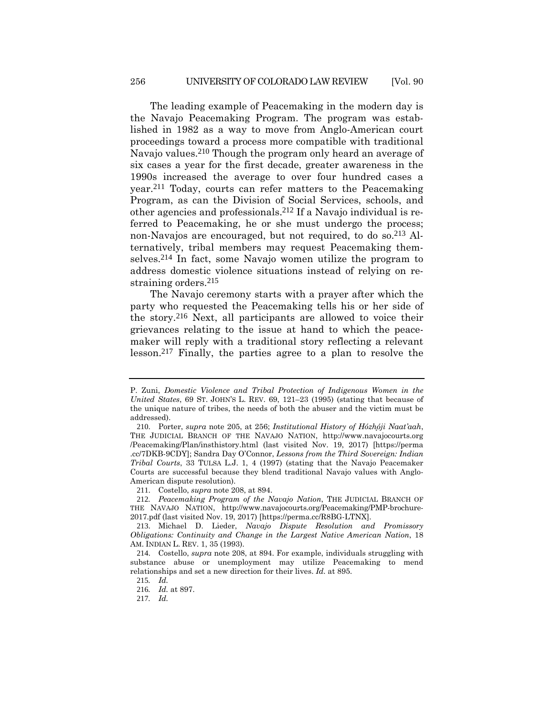The leading example of Peacemaking in the modern day is the Navajo Peacemaking Program. The program was established in 1982 as a way to move from Anglo-American court proceedings toward a process more compatible with traditional Navajo values.210 Though the program only heard an average of six cases a year for the first decade, greater awareness in the 1990s increased the average to over four hundred cases a year.211 Today, courts can refer matters to the Peacemaking Program, as can the Division of Social Services, schools, and other agencies and professionals.212 If a Navajo individual is referred to Peacemaking, he or she must undergo the process; non-Navajos are encouraged, but not required, to do so.213 Alternatively, tribal members may request Peacemaking themselves.214 In fact, some Navajo women utilize the program to address domestic violence situations instead of relying on restraining orders.215

The Navajo ceremony starts with a prayer after which the party who requested the Peacemaking tells his or her side of the story.216 Next, all participants are allowed to voice their grievances relating to the issue at hand to which the peacemaker will reply with a traditional story reflecting a relevant lesson.217 Finally, the parties agree to a plan to resolve the

P. Zuni, *Domestic Violence and Tribal Protection of Indigenous Women in the United States*, 69 ST. JOHN'S L. REV. 69, 121–23 (1995) (stating that because of the unique nature of tribes, the needs of both the abuser and the victim must be addressed).

<sup>210</sup>. Porter, *supra* note 205, at 256; *Institutional History of Hózh̨óji Naat'aah*, THE JUDICIAL BRANCH OF THE NAVAJO NATION, http://www.navajocourts.org /Peacemaking/Plan/insthistory.html (last visited Nov. 19, 2017) [https://perma .cc/7DKB-9CDY]; Sandra Day O'Connor, *Lessons from the Third Sovereign: Indian Tribal Courts*, 33 TULSA L.J. 1, 4 (1997) (stating that the Navajo Peacemaker Courts are successful because they blend traditional Navajo values with Anglo-American dispute resolution).

<sup>211</sup>. Costello, *supra* note 208, at 894.

<sup>212</sup>*. Peacemaking Program of the Navajo Nation*, THE JUDICIAL BRANCH OF THE NAVAJO NATION, http://www.navajocourts.org/Peacemaking/PMP-brochure-2017.pdf (last visited Nov. 19, 2017) [https://perma.cc/R8BG-LTNX].

<sup>213</sup>. Michael D. Lieder, *Navajo Dispute Resolution and Promissory Obligations: Continuity and Change in the Largest Native American Nation*, 18 AM. INDIAN L. REV. 1, 35 (1993).

<sup>214</sup>. Costello, *supra* note 208, at 894. For example, individuals struggling with substance abuse or unemployment may utilize Peacemaking to mend relationships and set a new direction for their lives. *Id.* at 895.

<sup>215</sup>*. Id.*

<sup>216</sup>*. Id.* at 897.

<sup>217</sup>*. Id.*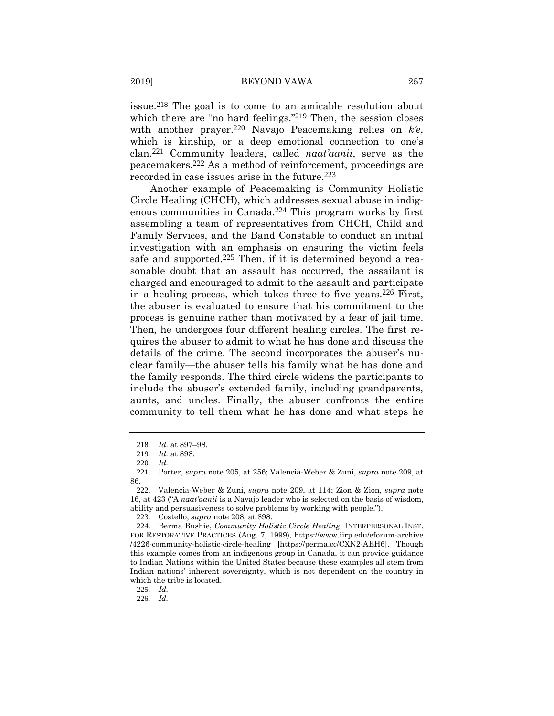issue.218 The goal is to come to an amicable resolution about which there are "no hard feelings."<sup>219</sup> Then, the session closes with another prayer.220 Navajo Peacemaking relies on *k'e*, which is kinship, or a deep emotional connection to one's clan.221 Community leaders, called *naat'aanii*, serve as the peacemakers.222 As a method of reinforcement, proceedings are recorded in case issues arise in the future.223

Another example of Peacemaking is Community Holistic Circle Healing (CHCH), which addresses sexual abuse in indigenous communities in Canada.224 This program works by first assembling a team of representatives from CHCH, Child and Family Services, and the Band Constable to conduct an initial investigation with an emphasis on ensuring the victim feels safe and supported.<sup>225</sup> Then, if it is determined beyond a reasonable doubt that an assault has occurred, the assailant is charged and encouraged to admit to the assault and participate in a healing process, which takes three to five years.226 First, the abuser is evaluated to ensure that his commitment to the process is genuine rather than motivated by a fear of jail time. Then, he undergoes four different healing circles. The first requires the abuser to admit to what he has done and discuss the details of the crime. The second incorporates the abuser's nuclear family—the abuser tells his family what he has done and the family responds. The third circle widens the participants to include the abuser's extended family, including grandparents, aunts, and uncles. Finally, the abuser confronts the entire community to tell them what he has done and what steps he

226*. Id.*

<sup>218</sup>*. Id.* at 897–98.

<sup>219</sup>*. Id.* at 898.

<sup>220</sup>*. Id.*

<sup>221</sup>. Porter, *supra* note 205, at 256; Valencia-Weber & Zuni, *supra* note 209, at 86.

<sup>222</sup>. Valencia-Weber & Zuni, *supra* note 209, at 114; Zion & Zion, *supra* note 16, at 423 ("A *naat'aanii* is a Navajo leader who is selected on the basis of wisdom, ability and persuasiveness to solve problems by working with people.").

<sup>223</sup>. Costello, *supra* note 208, at 898.

<sup>224</sup>. Berma Bushie, *Community Holistic Circle Healing*, INTERPERSONAL INST. FOR RESTORATIVE PRACTICES (Aug. 7, 1999), https://www.iirp.edu/eforum-archive /4226-community-holistic-circle-healing [https://perma.cc/CXN2-AEH6]. Though this example comes from an indigenous group in Canada, it can provide guidance to Indian Nations within the United States because these examples all stem from Indian nations' inherent sovereignty, which is not dependent on the country in which the tribe is located.

<sup>225</sup>*. Id.*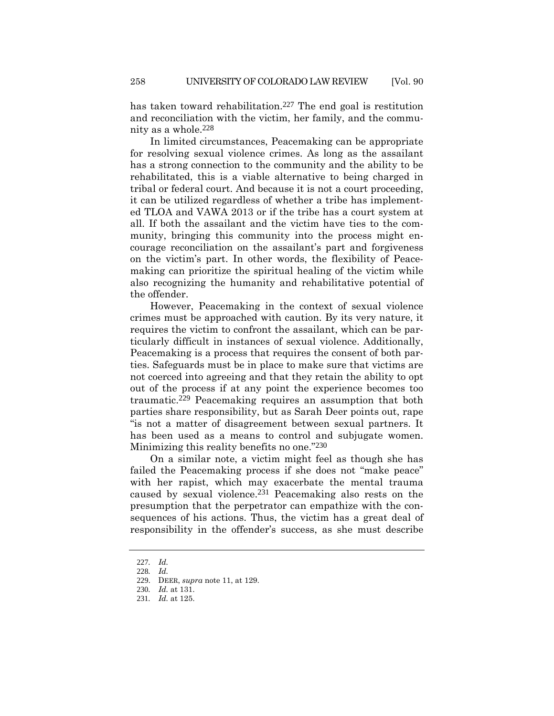has taken toward rehabilitation.<sup>227</sup> The end goal is restitution and reconciliation with the victim, her family, and the community as a whole.228

In limited circumstances, Peacemaking can be appropriate for resolving sexual violence crimes. As long as the assailant has a strong connection to the community and the ability to be rehabilitated, this is a viable alternative to being charged in tribal or federal court. And because it is not a court proceeding, it can be utilized regardless of whether a tribe has implemented TLOA and VAWA 2013 or if the tribe has a court system at all. If both the assailant and the victim have ties to the community, bringing this community into the process might encourage reconciliation on the assailant's part and forgiveness on the victim's part. In other words, the flexibility of Peacemaking can prioritize the spiritual healing of the victim while also recognizing the humanity and rehabilitative potential of the offender.

However, Peacemaking in the context of sexual violence crimes must be approached with caution. By its very nature, it requires the victim to confront the assailant, which can be particularly difficult in instances of sexual violence. Additionally, Peacemaking is a process that requires the consent of both parties. Safeguards must be in place to make sure that victims are not coerced into agreeing and that they retain the ability to opt out of the process if at any point the experience becomes too traumatic.229 Peacemaking requires an assumption that both parties share responsibility, but as Sarah Deer points out, rape "is not a matter of disagreement between sexual partners. It has been used as a means to control and subjugate women. Minimizing this reality benefits no one."230

On a similar note, a victim might feel as though she has failed the Peacemaking process if she does not "make peace" with her rapist, which may exacerbate the mental trauma caused by sexual violence.231 Peacemaking also rests on the presumption that the perpetrator can empathize with the consequences of his actions. Thus, the victim has a great deal of responsibility in the offender's success, as she must describe

<sup>227</sup>*. Id.*

<sup>228</sup>*. Id.*

<sup>229</sup>. DEER, *supra* note 11, at 129.

<sup>230</sup>*. Id.* at 131.

<sup>231</sup>*. Id.* at 125.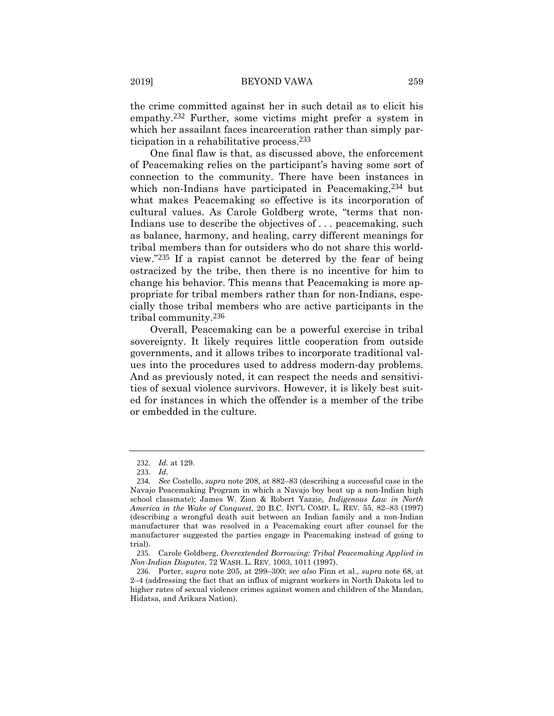the crime committed against her in such detail as to elicit his empathy.232 Further, some victims might prefer a system in which her assailant faces incarceration rather than simply participation in a rehabilitative process.233

One final flaw is that, as discussed above, the enforcement of Peacemaking relies on the participant's having some sort of connection to the community. There have been instances in which non-Indians have participated in Peacemaking,<sup>234</sup> but what makes Peacemaking so effective is its incorporation of cultural values. As Carole Goldberg wrote, "terms that non-Indians use to describe the objectives of ... peacemaking, such as balance, harmony, and healing, carry different meanings for tribal members than for outsiders who do not share this worldview."235 If a rapist cannot be deterred by the fear of being ostracized by the tribe, then there is no incentive for him to change his behavior. This means that Peacemaking is more appropriate for tribal members rather than for non-Indians, especially those tribal members who are active participants in the tribal community.236

Overall, Peacemaking can be a powerful exercise in tribal sovereignty. It likely requires little cooperation from outside governments, and it allows tribes to incorporate traditional values into the procedures used to address modern-day problems. And as previously noted, it can respect the needs and sensitivities of sexual violence survivors. However, it is likely best suited for instances in which the offender is a member of the tribe or embedded in the culture.

<sup>232</sup>*. Id.* at 129.

<sup>233</sup>*. Id*.

<sup>234</sup>*. See* Costello, *supra* note 208, at 882–83 (describing a successful case in the Navajo Peacemaking Program in which a Navajo boy beat up a non-Indian high school classmate); James W. Zion & Robert Yazzie, *Indigenous Law in North America in the Wake of Conquest*, 20 B.C. INT'L COMP. L. REV. 55, 82–83 (1997) (describing a wrongful death suit between an Indian family and a non-Indian manufacturer that was resolved in a Peacemaking court after counsel for the manufacturer suggested the parties engage in Peacemaking instead of going to trial).

<sup>235</sup>. Carole Goldberg, *Overextended Borrowing: Tribal Peacemaking Applied in Non-Indian Disputes*, 72 WASH. L. REV. 1003, 1011 (1997).

<sup>236</sup>. Porter, *supra* note 205, at 299–300; *see also* Finn et al., *supra* note 68, at 2–4 (addressing the fact that an influx of migrant workers in North Dakota led to higher rates of sexual violence crimes against women and children of the Mandan, Hidatsa, and Arikara Nation).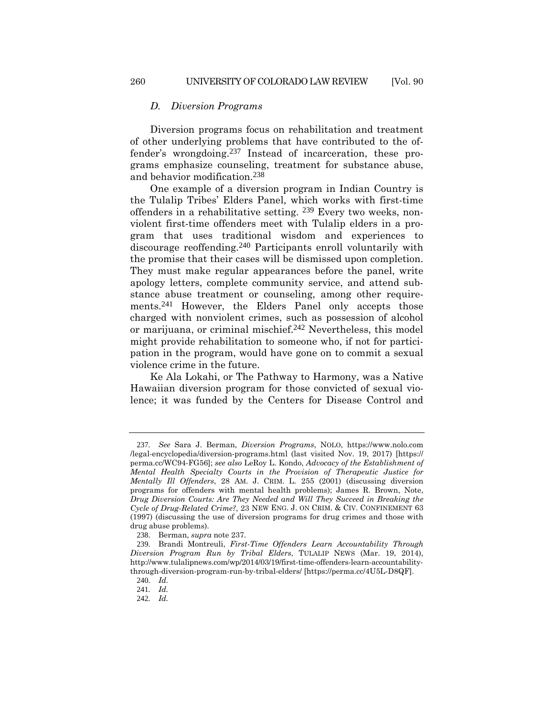#### *D. Diversion Programs*

Diversion programs focus on rehabilitation and treatment of other underlying problems that have contributed to the offender's wrongdoing.237 Instead of incarceration, these programs emphasize counseling, treatment for substance abuse, and behavior modification.238

One example of a diversion program in Indian Country is the Tulalip Tribes' Elders Panel, which works with first-time offenders in a rehabilitative setting. 239 Every two weeks, nonviolent first-time offenders meet with Tulalip elders in a program that uses traditional wisdom and experiences to discourage reoffending.240 Participants enroll voluntarily with the promise that their cases will be dismissed upon completion. They must make regular appearances before the panel, write apology letters, complete community service, and attend substance abuse treatment or counseling, among other requirements.<sup>241</sup> However, the Elders Panel only accepts those charged with nonviolent crimes, such as possession of alcohol or marijuana, or criminal mischief.242 Nevertheless, this model might provide rehabilitation to someone who, if not for participation in the program, would have gone on to commit a sexual violence crime in the future.

Ke Ala Lokahi, or The Pathway to Harmony, was a Native Hawaiian diversion program for those convicted of sexual violence; it was funded by the Centers for Disease Control and

<sup>237</sup>*. See* Sara J. Berman, *Diversion Programs*, NOLO, https://www.nolo.com /legal-encyclopedia/diversion-programs.html (last visited Nov. 19, 2017) [https:// perma.cc/WC94-FG56]; *see also* LeRoy L. Kondo, *Advocacy of the Establishment of Mental Health Specialty Courts in the Provision of Therapeutic Justice for Mentally Ill Offenders*, 28 AM. J. CRIM. L. 255 (2001) (discussing diversion programs for offenders with mental health problems); James R. Brown, Note, *Drug Diversion Courts: Are They Needed and Will They Succeed in Breaking the Cycle of Drug-Related Crime?*, 23 NEW ENG. J. ON CRIM. & CIV. CONFINEMENT 63 (1997) (discussing the use of diversion programs for drug crimes and those with drug abuse problems).

<sup>238</sup>. Berman, *supra* note 237.

<sup>239</sup>. Brandi Montreuli, *First-Time Offenders Learn Accountability Through Diversion Program Run by Tribal Elders*, TULALIP NEWS (Mar. 19, 2014), http://www.tulalipnews.com/wp/2014/03/19/first-time-offenders-learn-accountabilitythrough-diversion-program-run-by-tribal-elders/ [https://perma.cc/4U5L-D8QF].

<sup>240</sup>*. Id.*

<sup>241</sup>*. Id.*

<sup>242</sup>*. Id.*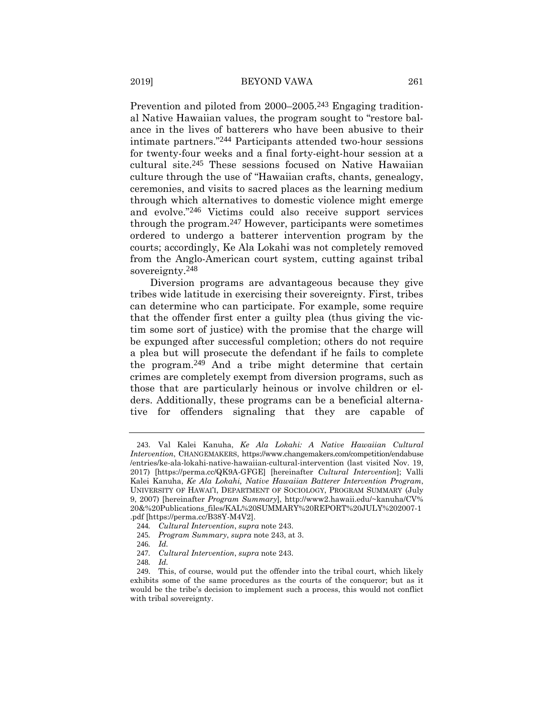Prevention and piloted from 2000–2005.<sup>243</sup> Engaging traditional Native Hawaiian values, the program sought to "restore balance in the lives of batterers who have been abusive to their intimate partners."244 Participants attended two-hour sessions for twenty-four weeks and a final forty-eight-hour session at a cultural site.245 These sessions focused on Native Hawaiian culture through the use of "Hawaiian crafts, chants, genealogy, ceremonies, and visits to sacred places as the learning medium through which alternatives to domestic violence might emerge and evolve."246 Victims could also receive support services through the program.247 However, participants were sometimes ordered to undergo a batterer intervention program by the courts; accordingly, Ke Ala Lokahi was not completely removed from the Anglo-American court system, cutting against tribal sovereignty.248

Diversion programs are advantageous because they give tribes wide latitude in exercising their sovereignty. First, tribes can determine who can participate. For example, some require that the offender first enter a guilty plea (thus giving the victim some sort of justice) with the promise that the charge will be expunged after successful completion; others do not require a plea but will prosecute the defendant if he fails to complete the program.249 And a tribe might determine that certain crimes are completely exempt from diversion programs, such as those that are particularly heinous or involve children or elders. Additionally, these programs can be a beneficial alternative for offenders signaling that they are capable of

<sup>243</sup>. Val Kalei Kanuha, *Ke Ala Lokahi: A Native Hawaiian Cultural Intervention*, CHANGEMAKERS, https://www.changemakers.com/competition/endabuse /entries/ke-ala-lokahi-native-hawaiian-cultural-intervention (last visited Nov. 19, 2017) [https://perma.cc/QK9A-GFGE] [hereinafter *Cultural Intervention*]; Valli Kalei Kanuha, *Ke Ala Lokahi, Native Hawaiian Batterer Intervention Program*, UNIVERSITY OF HAWAI'I, DEPARTMENT OF SOCIOLOGY, PROGRAM SUMMARY (July 9, 2007) [hereinafter *Program Summary*], http://www2.hawaii.edu/~kanuha/CV% 20&%20Publications\_files/KAL%20SUMMARY%20REPORT%20JULY%202007-1 .pdf [https://perma.cc/B38Y-M4V2].

<sup>244</sup>*. Cultural Intervention*, *supra* note 243.

<sup>245</sup>*. Program Summary*, *supra* note 243, at 3.

<sup>246</sup>*. Id.*

<sup>247</sup>*. Cultural Intervention*, *supra* note 243.

<sup>248</sup>*. Id.*

<sup>249</sup>. This, of course, would put the offender into the tribal court, which likely exhibits some of the same procedures as the courts of the conqueror; but as it would be the tribe's decision to implement such a process, this would not conflict with tribal sovereignty.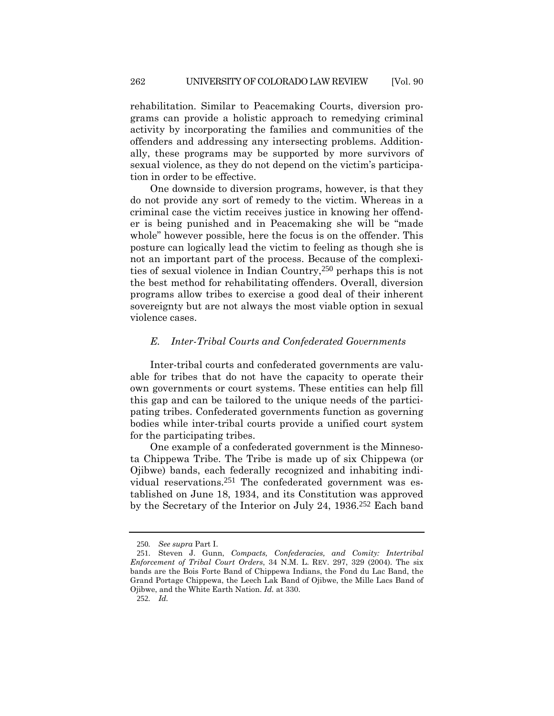rehabilitation. Similar to Peacemaking Courts, diversion programs can provide a holistic approach to remedying criminal activity by incorporating the families and communities of the offenders and addressing any intersecting problems. Additionally, these programs may be supported by more survivors of sexual violence, as they do not depend on the victim's participation in order to be effective.

One downside to diversion programs, however, is that they do not provide any sort of remedy to the victim. Whereas in a criminal case the victim receives justice in knowing her offender is being punished and in Peacemaking she will be "made whole" however possible, here the focus is on the offender. This posture can logically lead the victim to feeling as though she is not an important part of the process. Because of the complexities of sexual violence in Indian Country,250 perhaps this is not the best method for rehabilitating offenders. Overall, diversion programs allow tribes to exercise a good deal of their inherent sovereignty but are not always the most viable option in sexual violence cases.

#### *E. Inter-Tribal Courts and Confederated Governments*

Inter-tribal courts and confederated governments are valuable for tribes that do not have the capacity to operate their own governments or court systems. These entities can help fill this gap and can be tailored to the unique needs of the participating tribes. Confederated governments function as governing bodies while inter-tribal courts provide a unified court system for the participating tribes.

One example of a confederated government is the Minnesota Chippewa Tribe. The Tribe is made up of six Chippewa (or Ojibwe) bands, each federally recognized and inhabiting individual reservations.251 The confederated government was established on June 18, 1934, and its Constitution was approved by the Secretary of the Interior on July 24, 1936.252 Each band

<sup>250</sup>*. See supra* Part I.

<sup>251</sup>. Steven J. Gunn, *Compacts, Confederacies, and Comity: Intertribal Enforcement of Tribal Court Orders*, 34 N.M. L. REV. 297, 329 (2004). The six bands are the Bois Forte Band of Chippewa Indians, the Fond du Lac Band, the Grand Portage Chippewa, the Leech Lak Band of Ojibwe, the Mille Lacs Band of Ojibwe, and the White Earth Nation. *Id.* at 330.

<sup>252</sup>*. Id.*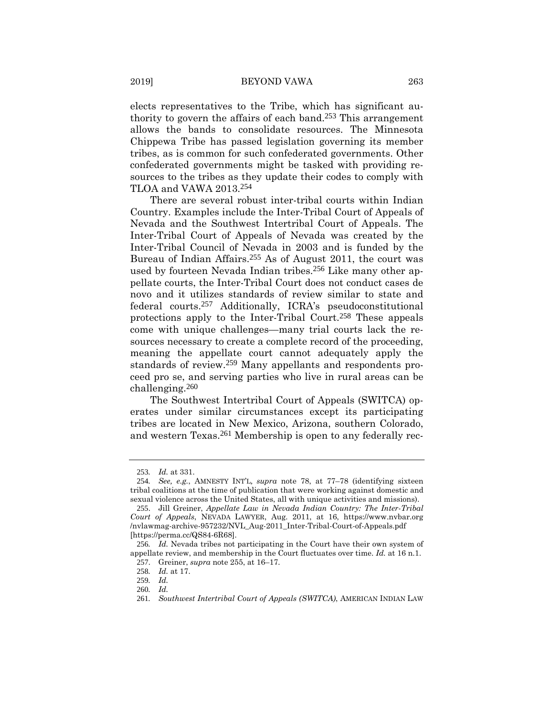elects representatives to the Tribe, which has significant authority to govern the affairs of each band.253 This arrangement allows the bands to consolidate resources. The Minnesota Chippewa Tribe has passed legislation governing its member tribes, as is common for such confederated governments. Other confederated governments might be tasked with providing resources to the tribes as they update their codes to comply with TLOA and VAWA 2013.254

There are several robust inter-tribal courts within Indian Country. Examples include the Inter-Tribal Court of Appeals of Nevada and the Southwest Intertribal Court of Appeals. The Inter-Tribal Court of Appeals of Nevada was created by the Inter-Tribal Council of Nevada in 2003 and is funded by the Bureau of Indian Affairs.255 As of August 2011, the court was used by fourteen Nevada Indian tribes.256 Like many other appellate courts, the Inter-Tribal Court does not conduct cases de novo and it utilizes standards of review similar to state and federal courts.257 Additionally, ICRA's pseudoconstitutional protections apply to the Inter-Tribal Court.258 These appeals come with unique challenges—many trial courts lack the resources necessary to create a complete record of the proceeding, meaning the appellate court cannot adequately apply the standards of review.259 Many appellants and respondents proceed pro se, and serving parties who live in rural areas can be challenging.260

The Southwest Intertribal Court of Appeals (SWITCA) operates under similar circumstances except its participating tribes are located in New Mexico, Arizona, southern Colorado, and western Texas.261 Membership is open to any federally rec-

<sup>253</sup>*. Id.* at 331.

<sup>254</sup>*. See, e.g.*, AMNESTY INT'L*, supra* note 78, at 77–78 (identifying sixteen tribal coalitions at the time of publication that were working against domestic and sexual violence across the United States, all with unique activities and missions).

<sup>255</sup>. Jill Greiner, *Appellate Law in Nevada Indian Country: The Inter-Tribal Court of Appeals*, NEVADA LAWYER, Aug. 2011, at 16, https://www.nvbar.org /nvlawmag-archive-957232/NVL\_Aug-2011\_Inter-Tribal-Court-of-Appeals.pdf [https://perma.cc/QS84-6R68].

<sup>256</sup>*. Id.* Nevada tribes not participating in the Court have their own system of appellate review, and membership in the Court fluctuates over time. *Id.* at 16 n.1. 257. Greiner, *supra* note 255, at 16–17.

<sup>258</sup>*. Id.* at 17.

<sup>259</sup>*. Id.*

<sup>260</sup>*. Id.*

<sup>261</sup>*. Southwest Intertribal Court of Appeals (SWITCA)*, AMERICAN INDIAN LAW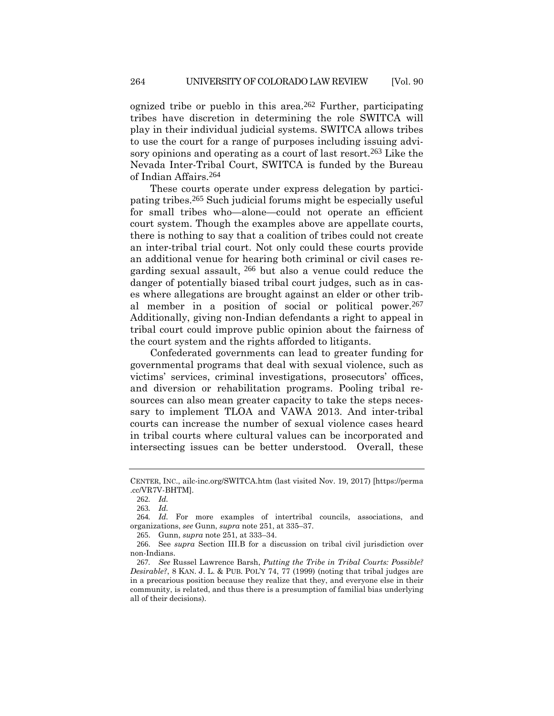ognized tribe or pueblo in this area.<sup>262</sup> Further, participating tribes have discretion in determining the role SWITCA will play in their individual judicial systems. SWITCA allows tribes to use the court for a range of purposes including issuing advisory opinions and operating as a court of last resort.<sup>263</sup> Like the Nevada Inter-Tribal Court, SWITCA is funded by the Bureau of Indian Affairs.264

These courts operate under express delegation by participating tribes.265 Such judicial forums might be especially useful for small tribes who—alone—could not operate an efficient court system. Though the examples above are appellate courts, there is nothing to say that a coalition of tribes could not create an inter-tribal trial court. Not only could these courts provide an additional venue for hearing both criminal or civil cases regarding sexual assault, 266 but also a venue could reduce the danger of potentially biased tribal court judges, such as in cases where allegations are brought against an elder or other tribal member in a position of social or political power.267 Additionally, giving non-Indian defendants a right to appeal in tribal court could improve public opinion about the fairness of the court system and the rights afforded to litigants.

Confederated governments can lead to greater funding for governmental programs that deal with sexual violence, such as victims' services, criminal investigations, prosecutors' offices, and diversion or rehabilitation programs. Pooling tribal resources can also mean greater capacity to take the steps necessary to implement TLOA and VAWA 2013. And inter-tribal courts can increase the number of sexual violence cases heard in tribal courts where cultural values can be incorporated and intersecting issues can be better understood. Overall, these

CENTER, INC., ailc-inc.org/SWITCA.htm (last visited Nov. 19, 2017) [https://perma .cc/VR7V-BHTM].

<sup>262</sup>*. Id.*

<sup>263</sup>*. Id.*

<sup>264</sup>*. Id.* For more examples of intertribal councils, associations, and organizations, *see* Gunn, *supra* note 251, at 335–37.

<sup>265</sup>. Gunn, *supra* note 251, at 333–34.

<sup>266</sup>. See *supra* Section III.B for a discussion on tribal civil jurisdiction over non-Indians.

<sup>267</sup>*. See* Russel Lawrence Barsh, *Putting the Tribe in Tribal Courts: Possible? Desirable?*, 8 KAN. J. L. & PUB. POL'Y 74, 77 (1999) (noting that tribal judges are in a precarious position because they realize that they, and everyone else in their community, is related, and thus there is a presumption of familial bias underlying all of their decisions).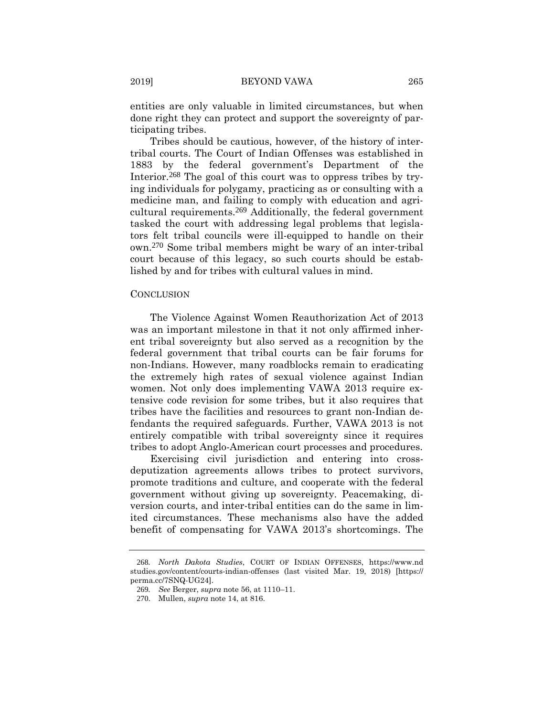entities are only valuable in limited circumstances, but when done right they can protect and support the sovereignty of participating tribes.

Tribes should be cautious, however, of the history of intertribal courts. The Court of Indian Offenses was established in 1883 by the federal government's Department of the Interior.<sup>268</sup> The goal of this court was to oppress tribes by trying individuals for polygamy, practicing as or consulting with a medicine man, and failing to comply with education and agricultural requirements.269 Additionally, the federal government tasked the court with addressing legal problems that legislators felt tribal councils were ill-equipped to handle on their own.270 Some tribal members might be wary of an inter-tribal court because of this legacy, so such courts should be established by and for tribes with cultural values in mind.

## **CONCLUSION**

The Violence Against Women Reauthorization Act of 2013 was an important milestone in that it not only affirmed inherent tribal sovereignty but also served as a recognition by the federal government that tribal courts can be fair forums for non-Indians. However, many roadblocks remain to eradicating the extremely high rates of sexual violence against Indian women. Not only does implementing VAWA 2013 require extensive code revision for some tribes, but it also requires that tribes have the facilities and resources to grant non-Indian defendants the required safeguards. Further, VAWA 2013 is not entirely compatible with tribal sovereignty since it requires tribes to adopt Anglo-American court processes and procedures.

Exercising civil jurisdiction and entering into crossdeputization agreements allows tribes to protect survivors, promote traditions and culture, and cooperate with the federal government without giving up sovereignty. Peacemaking, diversion courts, and inter-tribal entities can do the same in limited circumstances. These mechanisms also have the added benefit of compensating for VAWA 2013's shortcomings. The

<sup>268</sup>*. North Dakota Studies*, COURT OF INDIAN OFFENSES, https://www.nd studies.gov/content/courts-indian-offenses (last visited Mar. 19, 2018) [https:// perma.cc/7SNQ-UG24].

<sup>269</sup>*. See* Berger, *supra* note 56, at 1110–11.

<sup>270</sup>. Mullen, *supra* note 14, at 816.